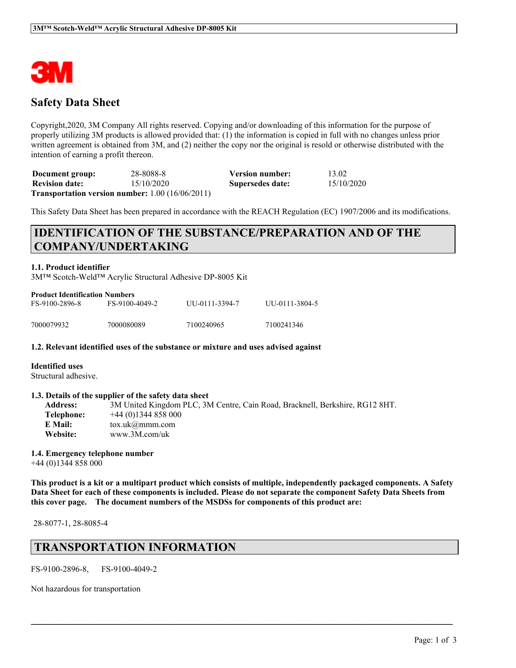

### **Safety Data Sheet**

Copyright,2020, 3M Company All rights reserved. Copying and/or downloading of this information for the purpose of properly utilizing 3M products is allowed provided that: (1) the information is copied in full with no changes unless prior written agreement is obtained from 3M, and (2) neither the copy nor the original is resold or otherwise distributed with the intention of earning a profit thereon.

**Document group:** 28-8088-8 **Version number:** 13.02 **Revision date:** 15/10/2020 **Supersedes date:** 15/10/2020 **Transportation version number:** 1.00 (16/06/2011)

This Safety Data Sheet has been prepared in accordance with the REACH Regulation (EC) 1907/2006 and its modifications.

## **IDENTIFICATION OF THE SUBSTANCE/PREPARATION AND OF THE COMPANY/UNDERTAKING**

#### **1.1. Product identifier**

3M™ Scotch-Weld™ Acrylic Structural Adhesive DP-8005 Kit

| <b>Product Identification Numbers</b> |                |                |                |  |
|---------------------------------------|----------------|----------------|----------------|--|
| FS-9100-2896-8                        | FS-9100-4049-2 | UU-0111-3394-7 | UU-0111-3804-5 |  |
| 7000079932                            | 7000080089     | 7100240965     | 7100241346     |  |

#### **1.2. Relevant identified uses of the substance or mixture and uses advised against**

#### **Identified uses**

Structural adhesive.

#### **1.3. Details of the supplier of the safety data sheet**

| <b>Address:</b> | 3M United Kingdom PLC, 3M Centre, Cain Road, Bracknell, Berkshire, RG12 8HT. |
|-----------------|------------------------------------------------------------------------------|
| Telephone:      | $+44(0)1344858000$                                                           |
| E Mail:         | $\text{tox.uk}(\omega \text{mmm.com})$                                       |
| Website:        | www.3M.com/uk                                                                |

#### **1.4. Emergency telephone number**

+44 (0)1344 858 000

This product is a kit or a multipart product which consists of multiple, independently packaged components. A Safety Data Sheet for each of these components is included. Please do not separate the component Safety Data Sheets from **this cover page. The document numbers of the MSDSs for components of this product are:**

 $\mathcal{L}_\mathcal{L} = \mathcal{L}_\mathcal{L} = \mathcal{L}_\mathcal{L} = \mathcal{L}_\mathcal{L} = \mathcal{L}_\mathcal{L} = \mathcal{L}_\mathcal{L} = \mathcal{L}_\mathcal{L} = \mathcal{L}_\mathcal{L} = \mathcal{L}_\mathcal{L} = \mathcal{L}_\mathcal{L} = \mathcal{L}_\mathcal{L} = \mathcal{L}_\mathcal{L} = \mathcal{L}_\mathcal{L} = \mathcal{L}_\mathcal{L} = \mathcal{L}_\mathcal{L} = \mathcal{L}_\mathcal{L} = \mathcal{L}_\mathcal{L}$ 

28-8077-1, 28-8085-4

### **TRANSPORTATION INFORMATION**

FS-9100-2896-8, FS-9100-4049-2

Not hazardous for transportation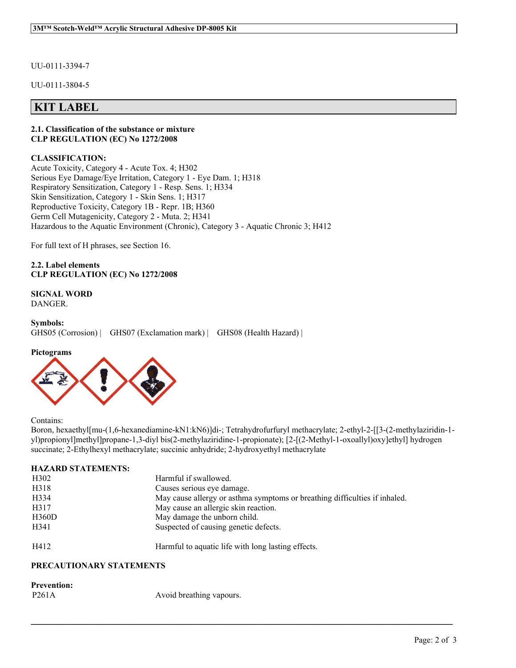UU-0111-3394-7

UU-0111-3804-5

### **KIT LABEL**

#### **2.1. Classification of the substance or mixture CLP REGULATION (EC) No 1272/2008**

#### **CLASSIFICATION:**

Acute Toxicity, Category 4 - Acute Tox. 4; H302 Serious Eye Damage/Eye Irritation, Category 1 - Eye Dam. 1; H318 Respiratory Sensitization, Category 1 - Resp. Sens. 1; H334 Skin Sensitization, Category 1 - Skin Sens. 1; H317 Reproductive Toxicity, Category 1B - Repr. 1B; H360 Germ Cell Mutagenicity, Category 2 - Muta. 2; H341 Hazardous to the Aquatic Environment (Chronic), Category 3 - Aquatic Chronic 3; H412

For full text of H phrases, see Section 16.

**2.2. Label elements CLP REGULATION (EC) No 1272/2008**

**SIGNAL WORD** DANGER.

```
Symbols:
GHS05 (Corrosion) | GHS07 (Exclamation mark) | GHS08 (Health Hazard) |
```
#### **Pictograms**



Contains:

Boron, hexaethyl[mu-(1,6-hexanediamine-kN1:kN6)]di-; Tetrahydrofurfuryl methacrylate; 2-ethyl-2-[[3-(2-methylaziridin-1 yl)propionyl]methyl]propane-1,3-diyl bis(2-methylaziridine-1-propionate); [2-[(2-Methyl-1-oxoallyl)oxy]ethyl] hydrogen succinate; 2-Ethylhexyl methacrylate; succinic anhydride; 2-hydroxyethyl methacrylate

 $\mathcal{L}_\mathcal{L} = \mathcal{L}_\mathcal{L} = \mathcal{L}_\mathcal{L} = \mathcal{L}_\mathcal{L} = \mathcal{L}_\mathcal{L} = \mathcal{L}_\mathcal{L} = \mathcal{L}_\mathcal{L} = \mathcal{L}_\mathcal{L} = \mathcal{L}_\mathcal{L} = \mathcal{L}_\mathcal{L} = \mathcal{L}_\mathcal{L} = \mathcal{L}_\mathcal{L} = \mathcal{L}_\mathcal{L} = \mathcal{L}_\mathcal{L} = \mathcal{L}_\mathcal{L} = \mathcal{L}_\mathcal{L} = \mathcal{L}_\mathcal{L}$ 

#### **HAZARD STATEMENTS:**

| H <sub>3</sub> 02 | Harmful if swallowed.                                                      |
|-------------------|----------------------------------------------------------------------------|
| H318              | Causes serious eye damage.                                                 |
| H334              | May cause allergy or asthma symptoms or breathing difficulties if inhaled. |
| H317              | May cause an allergic skin reaction.                                       |
| H360D             | May damage the unborn child.                                               |
| H341              | Suspected of causing genetic defects.                                      |
| H412              | Harmful to aquatic life with long lasting effects.                         |

### **PRECAUTIONARY STATEMENTS**

# **Prevention:**

P261A Avoid breathing vapours.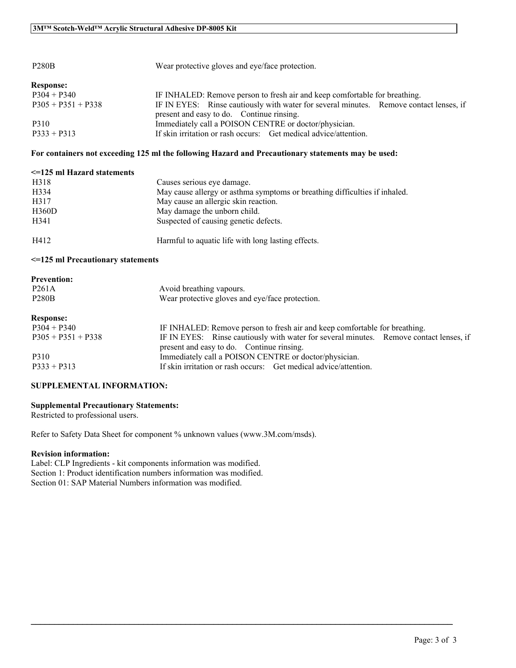| <b>P280B</b>         | Wear protective gloves and eye/face protection.                                                                                     |  |  |
|----------------------|-------------------------------------------------------------------------------------------------------------------------------------|--|--|
| <b>Response:</b>     |                                                                                                                                     |  |  |
| $P304 + P340$        | IF INHALED: Remove person to fresh air and keep comfortable for breathing.                                                          |  |  |
| $P305 + P351 + P338$ | IF IN EYES: Rinse cautiously with water for several minutes. Remove contact lenses, if<br>present and easy to do. Continue rinsing. |  |  |
| P310                 | Immediately call a POISON CENTRE or doctor/physician.                                                                               |  |  |
| $P333 + P313$        | If skin irritation or rash occurs: Get medical advice/attention.                                                                    |  |  |

#### **For containers not exceeding 125 ml the following Hazard and Precautionary statements may be used:**

| $\leq$ 125 ml Hazard statements |                                                                            |
|---------------------------------|----------------------------------------------------------------------------|
| H318                            | Causes serious eye damage.                                                 |
| H334                            | May cause allergy or asthma symptoms or breathing difficulties if inhaled. |
| H317                            | May cause an allergic skin reaction.                                       |
| H360D                           | May damage the unborn child.                                               |
| H341                            | Suspected of causing genetic defects.                                      |
| H412                            | Harmful to aquatic life with long lasting effects.                         |

#### **<=125 ml Precautionary statements**

| <b>Prevention:</b>   |                                                                                                                                     |
|----------------------|-------------------------------------------------------------------------------------------------------------------------------------|
| P <sub>261</sub> A   | Avoid breathing vapours.                                                                                                            |
| <b>P280B</b>         | Wear protective gloves and eye/face protection.                                                                                     |
| <b>Response:</b>     |                                                                                                                                     |
| $P304 + P340$        | IF INHALED: Remove person to fresh air and keep comfortable for breathing.                                                          |
| $P305 + P351 + P338$ | IF IN EYES: Rinse cautiously with water for several minutes. Remove contact lenses, if<br>present and easy to do. Continue rinsing. |
| P310                 | Immediately call a POISON CENTRE or doctor/physician.                                                                               |
| $P333 + P313$        | If skin irritation or rash occurs: Get medical advice/attention.                                                                    |

 $\mathcal{L}_\mathcal{L} = \mathcal{L}_\mathcal{L} = \mathcal{L}_\mathcal{L} = \mathcal{L}_\mathcal{L} = \mathcal{L}_\mathcal{L} = \mathcal{L}_\mathcal{L} = \mathcal{L}_\mathcal{L} = \mathcal{L}_\mathcal{L} = \mathcal{L}_\mathcal{L} = \mathcal{L}_\mathcal{L} = \mathcal{L}_\mathcal{L} = \mathcal{L}_\mathcal{L} = \mathcal{L}_\mathcal{L} = \mathcal{L}_\mathcal{L} = \mathcal{L}_\mathcal{L} = \mathcal{L}_\mathcal{L} = \mathcal{L}_\mathcal{L}$ 

#### **SUPPLEMENTAL INFORMATION:**

#### **Supplemental Precautionary Statements:**

Restricted to professional users.

Refer to Safety Data Sheet for component % unknown values (www.3M.com/msds).

#### **Revision information:**

Label: CLP Ingredients - kit components information was modified. Section 1: Product identification numbers information was modified. Section 01: SAP Material Numbers information was modified.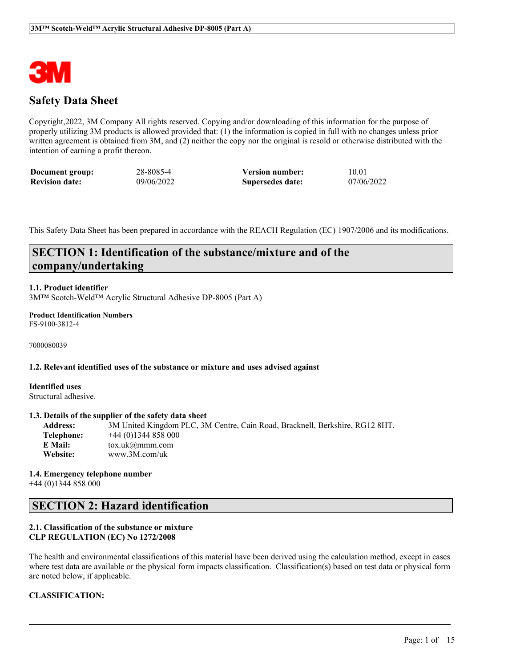

### **Safety Data Sheet**

Copyright,2022, 3M Company All rights reserved. Copying and/or downloading of this information for the purpose of properly utilizing 3M products is allowed provided that: (1) the information is copied in full with no changes unless prior written agreement is obtained from 3M, and (2) neither the copy nor the original is resold or otherwise distributed with the intention of earning a profit thereon.

| Document group:       | 28-8085-4  | <b>Version number:</b> | 10.01      |
|-----------------------|------------|------------------------|------------|
| <b>Revision date:</b> | 09/06/2022 | Supersedes date:       | 07/06/2022 |

This Safety Data Sheet has been prepared in accordance with the REACH Regulation (EC) 1907/2006 and its modifications.

### **SECTION 1: Identification of the substance/mixture and of the company/undertaking**

#### **1.1. Product identifier**

3M™ Scotch-Weld™ Acrylic Structural Adhesive DP-8005 (Part A)

#### **Product Identification Numbers** FS-9100-3812-4

7000080039

#### **1.2. Relevant identified uses of the substance or mixture and uses advised against**

**Identified uses** Structural adhesive.

#### **1.3. Details of the supplier of the safety data sheet**

**Address:** 3M United Kingdom PLC, 3M Centre, Cain Road, Bracknell, Berkshire, RG12 8HT. **Telephone:** +44 (0)1344 858 000 **E Mail:** tox.uk@mmm.com **Website:** www.3M.com/uk

**1.4. Emergency telephone number** +44 (0)1344 858 000

### **SECTION 2: Hazard identification**

#### **2.1. Classification of the substance or mixture CLP REGULATION (EC) No 1272/2008**

The health and environmental classifications of this material have been derived using the calculation method, except in cases where test data are available or the physical form impacts classification. Classification(s) based on test data or physical form are noted below, if applicable.

 $\mathcal{L}_\mathcal{L} = \mathcal{L}_\mathcal{L} = \mathcal{L}_\mathcal{L} = \mathcal{L}_\mathcal{L} = \mathcal{L}_\mathcal{L} = \mathcal{L}_\mathcal{L} = \mathcal{L}_\mathcal{L} = \mathcal{L}_\mathcal{L} = \mathcal{L}_\mathcal{L} = \mathcal{L}_\mathcal{L} = \mathcal{L}_\mathcal{L} = \mathcal{L}_\mathcal{L} = \mathcal{L}_\mathcal{L} = \mathcal{L}_\mathcal{L} = \mathcal{L}_\mathcal{L} = \mathcal{L}_\mathcal{L} = \mathcal{L}_\mathcal{L}$ 

#### **CLASSIFICATION:**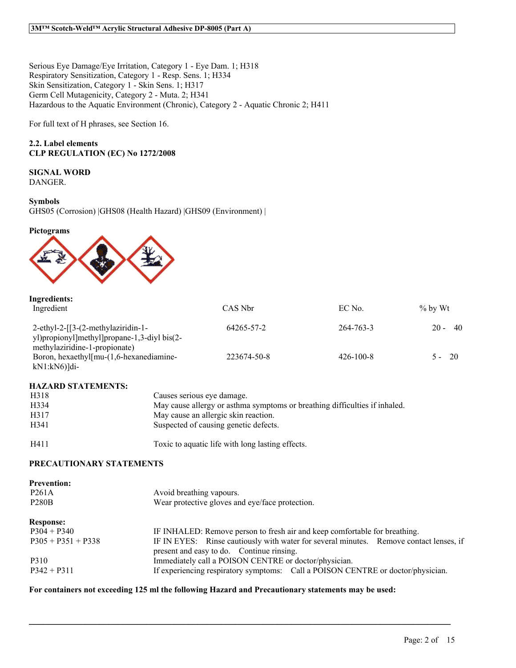Serious Eye Damage/Eye Irritation, Category 1 - Eye Dam. 1; H318 Respiratory Sensitization, Category 1 - Resp. Sens. 1; H334 Skin Sensitization, Category 1 - Skin Sens. 1; H317 Germ Cell Mutagenicity, Category 2 - Muta. 2; H341 Hazardous to the Aquatic Environment (Chronic), Category 2 - Aquatic Chronic 2; H411

For full text of H phrases, see Section 16.

#### **2.2. Label elements CLP REGULATION (EC) No 1272/2008**

# **SIGNAL WORD**

DANGER.

#### **Symbols**

GHS05 (Corrosion) |GHS08 (Health Hazard) |GHS09 (Environment) |

#### **Pictograms**



| Ingredients:<br>Ingredient                                                                                              | CAS Nbr     | EC No.          | $\%$ by Wt     |
|-------------------------------------------------------------------------------------------------------------------------|-------------|-----------------|----------------|
| $2$ -ethyl-2- $[3-(2-methylaziridin-1-$<br>yl)propionyl]methyl]propane-1,3-divl bis(2-<br>methylaziridine-1-propionate) | 64265-57-2  | 264-763-3       | - 40<br>$20 -$ |
| Boron, hexaethyl[mu-(1,6-hexanediamine-<br>$kN1:kN6$ ) $di-$                                                            | 223674-50-8 | $426 - 100 - 8$ | $5 - 20$       |

#### **HAZARD STATEMENTS:**

| H318             | Causes serious eve damage.                                                 |
|------------------|----------------------------------------------------------------------------|
| H334             | May cause allergy or asthma symptoms or breathing difficulties if inhaled. |
| H317             | May cause an allergic skin reaction.                                       |
| H <sub>341</sub> | Suspected of causing genetic defects.                                      |
| H411             | Toxic to aquatic life with long lasting effects.                           |

#### **PRECAUTIONARY STATEMENTS**

| <b>Prevention:</b><br>P <sub>261</sub> A<br><b>P280B</b> | Avoid breathing vapours.<br>Wear protective gloves and eye/face protection.                                                         |  |  |
|----------------------------------------------------------|-------------------------------------------------------------------------------------------------------------------------------------|--|--|
| <b>Response:</b>                                         |                                                                                                                                     |  |  |
| $P304 + P340$                                            | IF INHALED: Remove person to fresh air and keep comfortable for breathing.                                                          |  |  |
| $P305 + P351 + P338$                                     | IF IN EYES: Rinse cautiously with water for several minutes. Remove contact lenses, if<br>present and easy to do. Continue rinsing. |  |  |
| P310                                                     | Immediately call a POISON CENTRE or doctor/physician.                                                                               |  |  |
| $P342 + P311$                                            | If experiencing respiratory symptoms: Call a POISON CENTRE or doctor/physician.                                                     |  |  |

 $\mathcal{L}_\mathcal{L} = \mathcal{L}_\mathcal{L} = \mathcal{L}_\mathcal{L} = \mathcal{L}_\mathcal{L} = \mathcal{L}_\mathcal{L} = \mathcal{L}_\mathcal{L} = \mathcal{L}_\mathcal{L} = \mathcal{L}_\mathcal{L} = \mathcal{L}_\mathcal{L} = \mathcal{L}_\mathcal{L} = \mathcal{L}_\mathcal{L} = \mathcal{L}_\mathcal{L} = \mathcal{L}_\mathcal{L} = \mathcal{L}_\mathcal{L} = \mathcal{L}_\mathcal{L} = \mathcal{L}_\mathcal{L} = \mathcal{L}_\mathcal{L}$ 

#### **For containers not exceeding 125 ml the following Hazard and Precautionary statements may be used:**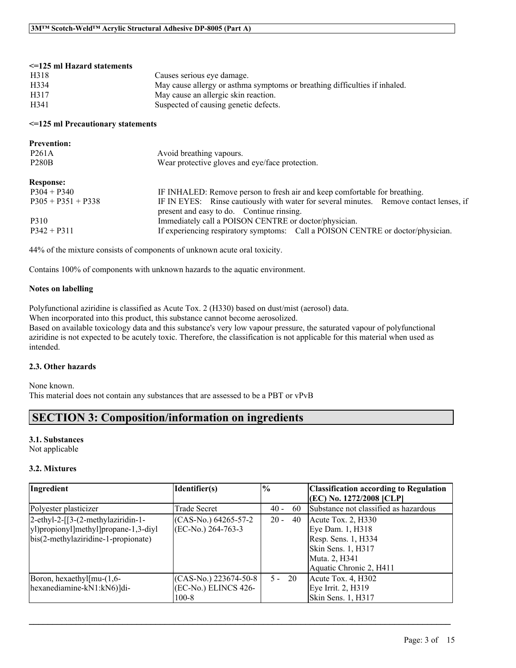#### **<=125 ml Hazard statements** H318 Causes serious eye damage. H334 May cause allergy or asthma symptoms or breathing difficulties if inhaled. H317 May cause an allergic skin reaction. H341 Suspected of causing genetic defects.

#### **<=125 ml Precautionary statements**

| <b>Prevention:</b><br>P <sub>261</sub> A<br><b>P280B</b> | Avoid breathing vapours.<br>Wear protective gloves and eye/face protection.                                                         |
|----------------------------------------------------------|-------------------------------------------------------------------------------------------------------------------------------------|
| <b>Response:</b>                                         |                                                                                                                                     |
| $P304 + P340$                                            | IF INHALED: Remove person to fresh air and keep comfortable for breathing.                                                          |
| $P305 + P351 + P338$                                     | IF IN EYES: Rinse cautiously with water for several minutes. Remove contact lenses, if<br>present and easy to do. Continue rinsing. |
| P310                                                     | Immediately call a POISON CENTRE or doctor/physician.                                                                               |
| $P342 + P311$                                            | If experiencing respiratory symptoms: Call a POISON CENTRE or doctor/physician.                                                     |

44% of the mixture consists of components of unknown acute oral toxicity.

Contains 100% of components with unknown hazards to the aquatic environment.

#### **Notes on labelling**

Polyfunctional aziridine is classified as Acute Tox. 2 (H330) based on dust/mist (aerosol) data.

When incorporated into this product, this substance cannot become aerosolized. Based on available toxicology data and this substance's very low vapour pressure, the saturated vapour of polyfunctional aziridine is not expected to be acutely toxic. Therefore, the classification is not applicable for this material when used as intended.

#### **2.3. Other hazards**

None known. This material does not contain any substances that are assessed to be a PBT or vPvB

### **SECTION 3: Composition/information on ingredients**

#### **3.1. Substances**

Not applicable

#### **3.2. Mixtures**

| Ingredient                                                                                                        | Identifier(s)                                              | $\frac{6}{6}$ | <b>Classification according to Regulation</b><br>(EC) No. 1272/2008 [CLP]                                                         |
|-------------------------------------------------------------------------------------------------------------------|------------------------------------------------------------|---------------|-----------------------------------------------------------------------------------------------------------------------------------|
| Polyester plasticizer                                                                                             | Trade Secret                                               | $40 -$<br>60  | Substance not classified as hazardous                                                                                             |
| 2-ethyl-2-[[3-(2-methylaziridin-1-<br>yl)propionyl]methyl]propane-1,3-diyl<br>bis(2-methylaziridine-1-propionate) | $(CAS-N0.) 64265-57-2$<br>(EC-No.) 264-763-3               | $20 -$<br>40  | Acute Tox. 2, $H330$<br>Eye Dam. 1, H318<br>Resp. Sens. 1, H334<br>Skin Sens. 1, H317<br>Muta. 2, H341<br>Aquatic Chronic 2, H411 |
| Boron, hexaethyl $\lceil \text{mu} - (1, 6 - \text{h} \rceil)$<br>hexanediamine-kN1:kN6)]di-                      | $(CAS-No.) 223674-50-8$<br>(EC-No.) ELINCS 426-<br>$100-8$ | $5 - 20$      | Acute Tox. $4, H302$<br>Eye Irrit. 2, H319<br>Skin Sens. 1, H317                                                                  |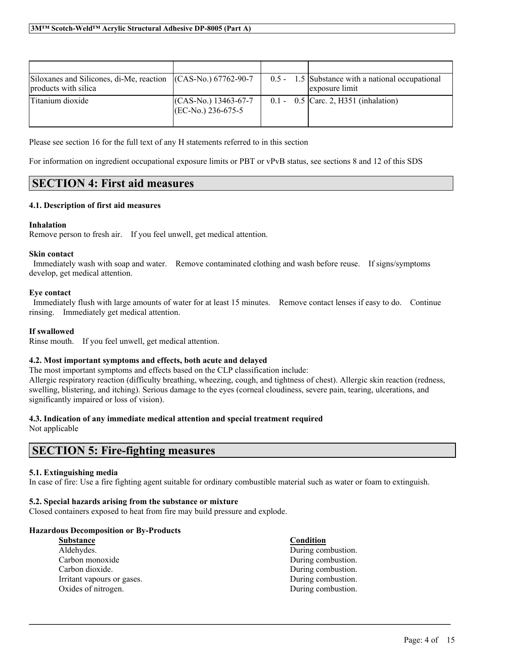| Siloxanes and Silicones, di-Me, reaction (CAS-No.) 67762-90-7<br>products with silica |                                                | $0.5 - 1.5$ Substance with a national occupational<br>exposure limit |
|---------------------------------------------------------------------------------------|------------------------------------------------|----------------------------------------------------------------------|
| Titanium dioxide                                                                      | $(CAS-N0)$ 13463-67-7<br>$[(EC-N0) 236-675-5]$ | $0.1 - 0.5$ Carc. 2, H351 (inhalation)                               |

Please see section 16 for the full text of any H statements referred to in this section

For information on ingredient occupational exposure limits or PBT or vPvB status, see sections 8 and 12 of this SDS

### **SECTION 4: First aid measures**

#### **4.1. Description of first aid measures**

#### **Inhalation**

Remove person to fresh air. If you feel unwell, get medical attention.

#### **Skin contact**

Immediately wash with soap and water. Remove contaminated clothing and wash before reuse. If signs/symptoms develop, get medical attention.

#### **Eye contact**

Immediately flush with large amounts of water for at least 15 minutes. Remove contact lenses if easy to do. Continue rinsing. Immediately get medical attention.

#### **If swallowed**

Rinse mouth. If you feel unwell, get medical attention.

#### **4.2. Most important symptoms and effects, both acute and delayed**

The most important symptoms and effects based on the CLP classification include: Allergic respiratory reaction (difficulty breathing, wheezing, cough, and tightness of chest). Allergic skin reaction (redness, swelling, blistering, and itching). Serious damage to the eyes (corneal cloudiness, severe pain, tearing, ulcerations, and significantly impaired or loss of vision).

#### **4.3. Indication of any immediate medical attention and special treatment required**

Not applicable

### **SECTION 5: Fire-fighting measures**

#### **5.1. Extinguishing media**

In case of fire: Use a fire fighting agent suitable for ordinary combustible material such as water or foam to extinguish.

 $\mathcal{L}_\mathcal{L} = \mathcal{L}_\mathcal{L} = \mathcal{L}_\mathcal{L} = \mathcal{L}_\mathcal{L} = \mathcal{L}_\mathcal{L} = \mathcal{L}_\mathcal{L} = \mathcal{L}_\mathcal{L} = \mathcal{L}_\mathcal{L} = \mathcal{L}_\mathcal{L} = \mathcal{L}_\mathcal{L} = \mathcal{L}_\mathcal{L} = \mathcal{L}_\mathcal{L} = \mathcal{L}_\mathcal{L} = \mathcal{L}_\mathcal{L} = \mathcal{L}_\mathcal{L} = \mathcal{L}_\mathcal{L} = \mathcal{L}_\mathcal{L}$ 

#### **5.2. Special hazards arising from the substance or mixture**

Closed containers exposed to heat from fire may build pressure and explode.

#### **Hazardous Decomposition or By-Products**

| <b>Substance</b>           | Condition          |
|----------------------------|--------------------|
| Aldehydes.                 | During combustion. |
| Carbon monoxide            | During combustion. |
| Carbon dioxide.            | During combustion. |
| Irritant vapours or gases. | During combustion. |
| Oxides of nitrogen.        | During combustion. |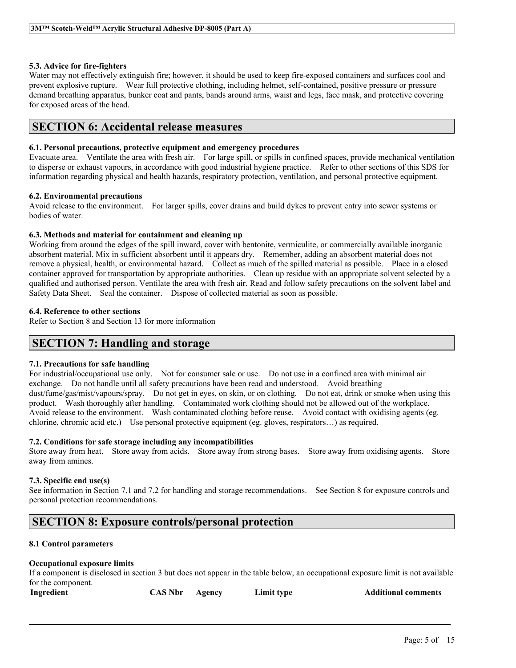#### **5.3. Advice for fire-fighters**

Water may not effectively extinguish fire; however, it should be used to keep fire-exposed containers and surfaces cool and prevent explosive rupture. Wear full protective clothing, including helmet, self-contained, positive pressure or pressure demand breathing apparatus, bunker coat and pants, bands around arms, waist and legs, face mask, and protective covering for exposed areas of the head.

### **SECTION 6: Accidental release measures**

#### **6.1. Personal precautions, protective equipment and emergency procedures**

Evacuate area. Ventilate the area with fresh air. For large spill, or spills in confined spaces, provide mechanical ventilation to disperse or exhaust vapours, in accordance with good industrial hygiene practice. Refer to other sections of this SDS for information regarding physical and health hazards, respiratory protection, ventilation, and personal protective equipment.

#### **6.2. Environmental precautions**

Avoid release to the environment. For larger spills, cover drains and build dykes to prevent entry into sewer systems or bodies of water.

#### **6.3. Methods and material for containment and cleaning up**

Working from around the edges of the spill inward, cover with bentonite, vermiculite, or commercially available inorganic absorbent material. Mix in sufficient absorbent until it appears dry. Remember, adding an absorbent material does not remove a physical, health, or environmental hazard. Collect as much of the spilled material as possible. Place in a closed container approved for transportation by appropriate authorities. Clean up residue with an appropriate solvent selected by a qualified and authorised person. Ventilate the area with fresh air. Read and follow safety precautions on the solvent label and Safety Data Sheet. Seal the container. Dispose of collected material as soon as possible.

#### **6.4. Reference to other sections**

Refer to Section 8 and Section 13 for more information

### **SECTION 7: Handling and storage**

#### **7.1. Precautions for safe handling**

For industrial/occupational use only. Not for consumer sale or use. Do not use in a confined area with minimal air exchange. Do not handle until all safety precautions have been read and understood. Avoid breathing dust/fume/gas/mist/vapours/spray. Do not get in eyes, on skin, or on clothing. Do not eat, drink or smoke when using this product. Wash thoroughly after handling. Contaminated work clothing should not be allowed out of the workplace. Avoid release to the environment. Wash contaminated clothing before reuse. Avoid contact with oxidising agents (eg. chlorine, chromic acid etc.) Use personal protective equipment (eg. gloves, respirators…) as required.

#### **7.2. Conditions for safe storage including any incompatibilities**

Store away from heat. Store away from acids. Store away from strong bases. Store away from oxidising agents. Store away from amines.

#### **7.3. Specific end use(s)**

See information in Section 7.1 and 7.2 for handling and storage recommendations. See Section 8 for exposure controls and personal protection recommendations.

### **SECTION 8: Exposure controls/personal protection**

#### **8.1 Control parameters**

#### **Occupational exposure limits**

If a component is disclosed in section 3 but does not appear in the table below, an occupational exposure limit is not available for the component.

| Ingredient | <b>CAS Nbr</b> | Agency | Limit type | <b>Additional comments</b> |
|------------|----------------|--------|------------|----------------------------|
|------------|----------------|--------|------------|----------------------------|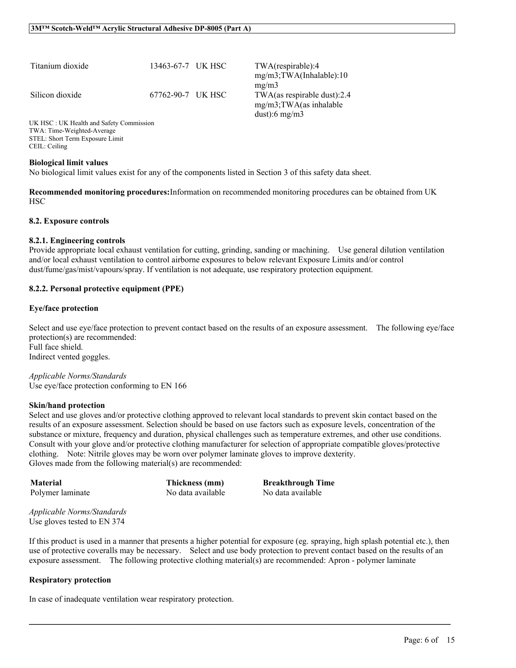| Titanium dioxide                                                                                                                                                                                                                                                   | 13463-67-7 UK HSC | TWA(respirable):4<br>$mg/m3$ ; TWA(Inhalable): 10                                |
|--------------------------------------------------------------------------------------------------------------------------------------------------------------------------------------------------------------------------------------------------------------------|-------------------|----------------------------------------------------------------------------------|
| Silicon dioxide                                                                                                                                                                                                                                                    | 67762-90-7 UK HSC | $m\Omega/m3$<br>TWA(as respirable dust): $2.4$<br>$mg/m3$ ; TWA $(as)$ inhalable |
| $IIPZ$ $IIPQ$ $IIPZ$ $IIPZ$ $IIPZ$ $IIPZ$ $IIPZ$ $IIPZ$ $IIPZ$ $IIPZ$ $IIPZ$ $IIPZ$ $IIPZ$ $IIPZ$ $IIPZ$ $IIPZ$ $IIPZ$ $IIPZ$ $IIPZ$ $IIPZ$ $IIPZ$ $IIPZ$ $IIPZ$ $IIPZ$ $IIPZ$ $IIPZ$ $IIPZ$ $IIPZ$ $IIPZ$ $IIPZ$ $IIPZ$ $IIPZ$ $IIPZ$ $IIPZ$ $IIPZ$ $IIPZ$ $IIPZ$ |                   | dust):6 mg/m3                                                                    |

UK HSC : UK Health and Safety Commission TWA: Time-Weighted-Average STEL: Short Term Exposure Limit CEIL: Ceiling

#### **Biological limit values**

No biological limit values exist for any of the components listed in Section 3 of this safety data sheet.

**Recommended monitoring procedures:**Information on recommended monitoring procedures can be obtained from UK **HSC** 

#### **8.2. Exposure controls**

#### **8.2.1. Engineering controls**

Provide appropriate local exhaust ventilation for cutting, grinding, sanding or machining. Use general dilution ventilation and/or local exhaust ventilation to control airborne exposures to below relevant Exposure Limits and/or control dust/fume/gas/mist/vapours/spray. If ventilation is not adequate, use respiratory protection equipment.

#### **8.2.2. Personal protective equipment (PPE)**

#### **Eye/face protection**

Select and use eve/face protection to prevent contact based on the results of an exposure assessment. The following eve/face protection(s) are recommended: Full face shield. Indirect vented goggles.

*Applicable Norms/Standards* Use eye/face protection conforming to EN 166

#### **Skin/hand protection**

Select and use gloves and/or protective clothing approved to relevant local standards to prevent skin contact based on the results of an exposure assessment. Selection should be based on use factors such as exposure levels, concentration of the substance or mixture, frequency and duration, physical challenges such as temperature extremes, and other use conditions. Consult with your glove and/or protective clothing manufacturer for selection of appropriate compatible gloves/protective clothing. Note: Nitrile gloves may be worn over polymer laminate gloves to improve dexterity. Gloves made from the following material(s) are recommended:

**Material Thickness (mm) Breakthrough Time** Polymer laminate No data available No data available

*Applicable Norms/Standards* Use gloves tested to EN 374

If this product is used in a manner that presents a higher potential for exposure (eg. spraying, high splash potential etc.), then use of protective coveralls may be necessary. Select and use body protection to prevent contact based on the results of an exposure assessment. The following protective clothing material(s) are recommended: Apron - polymer laminate

 $\mathcal{L}_\mathcal{L} = \mathcal{L}_\mathcal{L} = \mathcal{L}_\mathcal{L} = \mathcal{L}_\mathcal{L} = \mathcal{L}_\mathcal{L} = \mathcal{L}_\mathcal{L} = \mathcal{L}_\mathcal{L} = \mathcal{L}_\mathcal{L} = \mathcal{L}_\mathcal{L} = \mathcal{L}_\mathcal{L} = \mathcal{L}_\mathcal{L} = \mathcal{L}_\mathcal{L} = \mathcal{L}_\mathcal{L} = \mathcal{L}_\mathcal{L} = \mathcal{L}_\mathcal{L} = \mathcal{L}_\mathcal{L} = \mathcal{L}_\mathcal{L}$ 

#### **Respiratory protection**

In case of inadequate ventilation wear respiratory protection.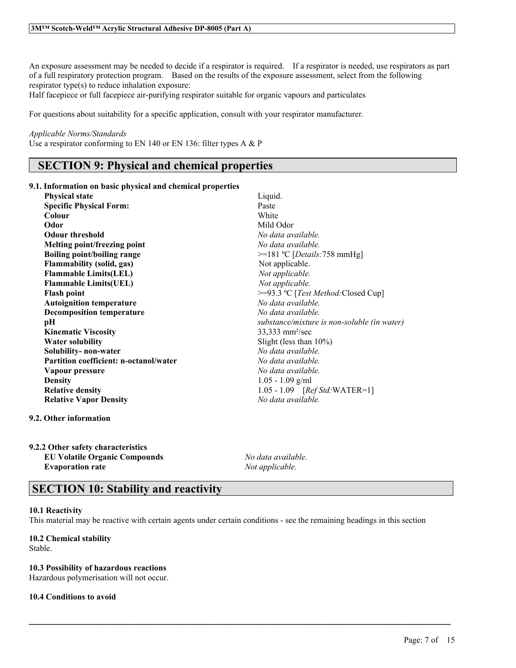An exposure assessment may be needed to decide if a respirator is required. If a respirator is needed, use respirators as part of a full respiratory protection program. Based on the results of the exposure assessment, select from the following respirator type(s) to reduce inhalation exposure:

Half facepiece or full facepiece air-purifying respirator suitable for organic vapours and particulates

For questions about suitability for a specific application, consult with your respirator manufacturer.

#### *Applicable Norms/Standards*

Use a respirator conforming to EN 140 or EN 136: filter types A & P

### **SECTION 9: Physical and chemical properties**

#### **9.1. Information on basic physical and chemical properties**

| <b>Physical state</b>                         | Liquid.                                     |
|-----------------------------------------------|---------------------------------------------|
| <b>Specific Physical Form:</b>                | Paste                                       |
| Colour                                        | White                                       |
| Odor                                          | Mild Odor                                   |
| <b>Odour threshold</b>                        | No data available.                          |
| Melting point/freezing point                  | No data available.                          |
| <b>Boiling point/boiling range</b>            | $>=181 °C$ [ <i>Details:</i> 758 mmHg]      |
| <b>Flammability (solid, gas)</b>              | Not applicable.                             |
| <b>Flammable Limits(LEL)</b>                  | Not applicable.                             |
| <b>Flammable Limits(UEL)</b>                  | Not applicable.                             |
| <b>Flash point</b>                            | >=93.3 °C [Test Method: Closed Cup]         |
| <b>Autoignition temperature</b>               | No data available                           |
| <b>Decomposition temperature</b>              | No data available.                          |
| pН                                            | substance/mixture is non-soluble (in water) |
| <b>Kinematic Viscosity</b>                    | $33,333$ mm <sup>2</sup> /sec               |
| <b>Water solubility</b>                       | Slight (less than $10\%$ )                  |
| Solubility- non-water                         | No data available.                          |
| <b>Partition coefficient: n-octanol/water</b> | No data available.                          |
| Vapour pressure                               | No data available.                          |
| <b>Density</b>                                | $1.05 - 1.09$ g/ml                          |
| <b>Relative density</b>                       | 1.05 - 1.09 $[RefStd:WATER=1]$              |
| <b>Relative Vapor Density</b>                 | No data available.                          |
|                                               |                                             |

#### **9.2. Other information**

#### **9.2.2 Other safety characteristics EU Volatile Organic Compounds** *No data available.*

**Evaporation rate** *Not applicable.*

### **SECTION 10: Stability and reactivity**

#### **10.1 Reactivity**

This material may be reactive with certain agents under certain conditions - see the remaining headings in this section

 $\mathcal{L}_\mathcal{L} = \mathcal{L}_\mathcal{L} = \mathcal{L}_\mathcal{L} = \mathcal{L}_\mathcal{L} = \mathcal{L}_\mathcal{L} = \mathcal{L}_\mathcal{L} = \mathcal{L}_\mathcal{L} = \mathcal{L}_\mathcal{L} = \mathcal{L}_\mathcal{L} = \mathcal{L}_\mathcal{L} = \mathcal{L}_\mathcal{L} = \mathcal{L}_\mathcal{L} = \mathcal{L}_\mathcal{L} = \mathcal{L}_\mathcal{L} = \mathcal{L}_\mathcal{L} = \mathcal{L}_\mathcal{L} = \mathcal{L}_\mathcal{L}$ 

#### **10.2 Chemical stability** Stable.

### **10.3 Possibility of hazardous reactions**

Hazardous polymerisation will not occur.

#### **10.4 Conditions to avoid**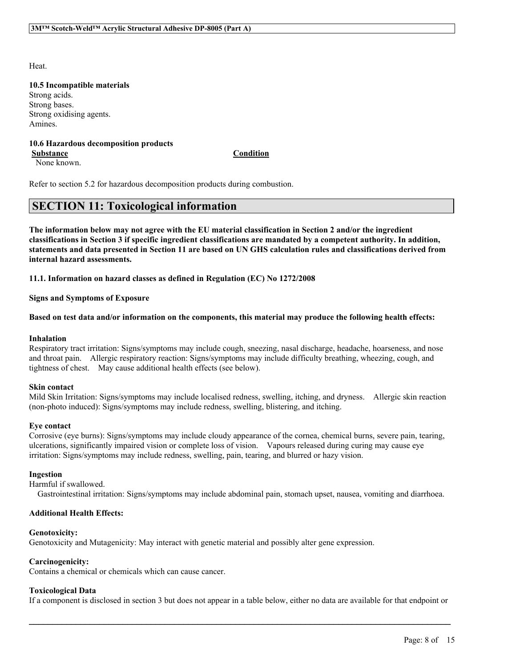Heat.

#### **10.5 Incompatible materials**

Strong acids. Strong bases. Strong oxidising agents. Amines.

#### **10.6 Hazardous decomposition products Substance Condition**

None known.

Refer to section 5.2 for hazardous decomposition products during combustion.

### **SECTION 11: Toxicological information**

The information below may not agree with the EU material classification in Section 2 and/or the ingredient classifications in Section 3 if specific ingredient classifications are mandated by a competent authority. In addition, statements and data presented in Section 11 are based on UN GHS calculation rules and classifications derived from **internal hazard assessments.**

**11.1. Information on hazard classes as defined in Regulation (EC) No 1272/2008**

**Signs and Symptoms of Exposure**

#### Based on test data and/or information on the components, this material may produce the following health effects:

#### **Inhalation**

Respiratory tract irritation: Signs/symptoms may include cough, sneezing, nasal discharge, headache, hoarseness, and nose and throat pain. Allergic respiratory reaction: Signs/symptoms may include difficulty breathing, wheezing, cough, and tightness of chest. May cause additional health effects (see below).

#### **Skin contact**

Mild Skin Irritation: Signs/symptoms may include localised redness, swelling, itching, and dryness. Allergic skin reaction (non-photo induced): Signs/symptoms may include redness, swelling, blistering, and itching.

#### **Eye contact**

Corrosive (eye burns): Signs/symptoms may include cloudy appearance of the cornea, chemical burns, severe pain, tearing, ulcerations, significantly impaired vision or complete loss of vision. Vapours released during curing may cause eye irritation: Signs/symptoms may include redness, swelling, pain, tearing, and blurred or hazy vision.

#### **Ingestion**

Harmful if swallowed.

Gastrointestinal irritation: Signs/symptoms may include abdominal pain, stomach upset, nausea, vomiting and diarrhoea.

#### **Additional Health Effects:**

#### **Genotoxicity:**

Genotoxicity and Mutagenicity: May interact with genetic material and possibly alter gene expression.

#### **Carcinogenicity:**

Contains a chemical or chemicals which can cause cancer.

#### **Toxicological Data**

If a component is disclosed in section 3 but does not appear in a table below, either no data are available for that endpoint or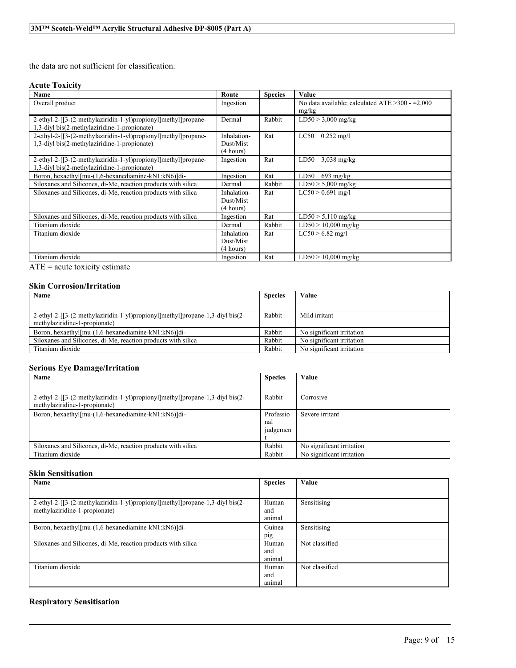the data are not sufficient for classification.

#### **Acute Toxicity**

| Name                                                           | Route       | <b>Species</b> | Value                                               |
|----------------------------------------------------------------|-------------|----------------|-----------------------------------------------------|
| Overall product                                                | Ingestion   |                | No data available; calculated ATE $>300$ - $=2,000$ |
|                                                                |             |                | mg/kg                                               |
| 2-ethyl-2-[[3-(2-methylaziridin-1-yl)propionyl]methyl]propane- | Dermal      | Rabbit         | $LD50 > 3,000$ mg/kg                                |
| 1,3-divl bis(2-methylaziridine-1-propionate)                   |             |                |                                                     |
| 2-ethyl-2-[[3-(2-methylaziridin-1-yl)propionyl]methyl]propane- | Inhalation- | Rat            | $0.252 \text{ mg/l}$<br>LC50                        |
| 1,3-diyl bis(2-methylaziridine-1-propionate)                   | Dust/Mist   |                |                                                     |
|                                                                | (4 hours)   |                |                                                     |
| 2-ethyl-2-[[3-(2-methylaziridin-1-yl)propionyl]methyl]propane- | Ingestion   | Rat            | LD50<br>$3.038$ mg/kg                               |
| 1,3-diyl bis(2-methylaziridine-1-propionate)                   |             |                |                                                     |
| Boron, hexaethyl[mu-(1,6-hexanediamine-kN1:kN6)]di-            | Ingestion   | Rat            | LD50<br>$693$ mg/kg                                 |
| Siloxanes and Silicones, di-Me, reaction products with silica  | Dermal      | Rabbit         | $LD50 > 5,000$ mg/kg                                |
| Siloxanes and Silicones, di-Me, reaction products with silica  | Inhalation- | Rat            | $LC50 > 0.691$ mg/l                                 |
|                                                                | Dust/Mist   |                |                                                     |
|                                                                | (4 hours)   |                |                                                     |
| Siloxanes and Silicones, di-Me, reaction products with silica  | Ingestion   | Rat            | $LD50 > 5,110$ mg/kg                                |
| Titanium dioxide                                               | Dermal      | Rabbit         | $LD50 > 10,000$ mg/kg                               |
| Titanium dioxide                                               | Inhalation- | Rat            | $LC50 > 6.82$ mg/l                                  |
|                                                                | Dust/Mist   |                |                                                     |
|                                                                | (4 hours)   |                |                                                     |
| Titanium dioxide                                               | Ingestion   | Rat            | $LD50 > 10,000$ mg/kg                               |

ATE = acute toxicity estimate

#### **Skin Corrosion/Irritation**

| Name<br><b>Species</b>                                                        |        | Value                     |
|-------------------------------------------------------------------------------|--------|---------------------------|
|                                                                               |        |                           |
| 2-ethyl-2-[[3-(2-methylaziridin-1-yl)propionyl]methyl]propane-1,3-divl bis(2- | Rabbit | Mild irritant             |
| methylaziridine-1-propionate)                                                 |        |                           |
| Boron, hexaethyl[mu-(1,6-hexanediamine-kN1:kN6)]di-                           | Rabbit | No significant irritation |
| Siloxanes and Silicones, di-Me, reaction products with silica                 | Rabbit | No significant irritation |
| Titanium dioxide                                                              | Rabbit | No significant irritation |

#### **Serious Eye Damage/Irritation**

| Name                                                                                                           | <b>Species</b>               | Value                     |
|----------------------------------------------------------------------------------------------------------------|------------------------------|---------------------------|
|                                                                                                                |                              |                           |
| 2-ethyl-2-[[3-(2-methylaziridin-1-yl)propionyl]methyl]propane-1,3-divl bis(2-<br>methylaziridine-1-propionate) | Rabbit                       | Corrosive                 |
| Boron, hexaethyl[mu-(1,6-hexanediamine-kN1:kN6)]di-                                                            | Professio<br>nal<br>judgemen | Severe irritant           |
| Siloxanes and Silicones, di-Me, reaction products with silica                                                  | Rabbit                       | No significant irritation |
| Titanium dioxide                                                                                               | Rabbit                       | No significant irritation |

#### **Skin Sensitisation**

| Name                                                                          | <b>Species</b> | Value          |
|-------------------------------------------------------------------------------|----------------|----------------|
|                                                                               |                |                |
| 2-ethyl-2-[[3-(2-methylaziridin-1-yl)propionyl]methyl]propane-1,3-diyl bis(2- | Human          | Sensitising    |
| methylaziridine-1-propionate)                                                 | and            |                |
|                                                                               | animal         |                |
| Boron, hexaethyl[mu-(1,6-hexanediamine-kN1:kN6)]di-                           | Guinea         | Sensitising    |
|                                                                               | pig            |                |
| Siloxanes and Silicones, di-Me, reaction products with silica                 | Human          | Not classified |
|                                                                               | and            |                |
|                                                                               | animal         |                |
| Titanium dioxide                                                              | Human          | Not classified |
|                                                                               | and            |                |
|                                                                               | animal         |                |

 $\mathcal{L}_\mathcal{L} = \mathcal{L}_\mathcal{L} = \mathcal{L}_\mathcal{L} = \mathcal{L}_\mathcal{L} = \mathcal{L}_\mathcal{L} = \mathcal{L}_\mathcal{L} = \mathcal{L}_\mathcal{L} = \mathcal{L}_\mathcal{L} = \mathcal{L}_\mathcal{L} = \mathcal{L}_\mathcal{L} = \mathcal{L}_\mathcal{L} = \mathcal{L}_\mathcal{L} = \mathcal{L}_\mathcal{L} = \mathcal{L}_\mathcal{L} = \mathcal{L}_\mathcal{L} = \mathcal{L}_\mathcal{L} = \mathcal{L}_\mathcal{L}$ 

### **Respiratory Sensitisation**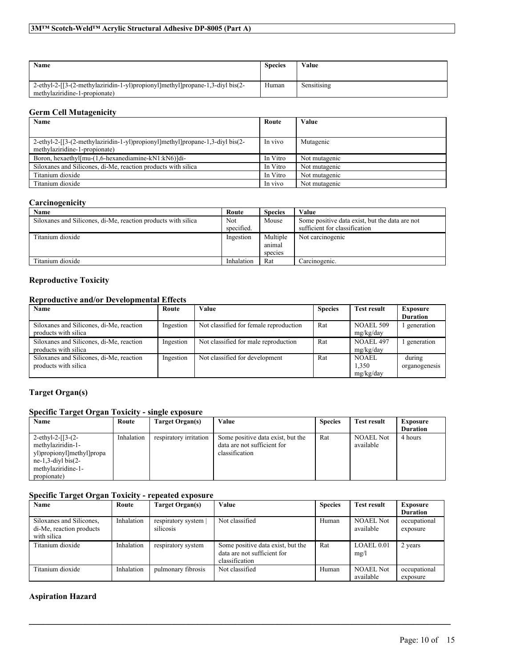| Name                                                                          | <b>Species</b> | Value       |
|-------------------------------------------------------------------------------|----------------|-------------|
| 2-ethyl-2-[[3-(2-methylaziridin-1-yl)propionyl]methyl]propane-1,3-diyl bis(2- | Human          | Sensitising |
| methylaziridine-1-propionate)                                                 |                |             |

#### **Germ Cell Mutagenicity**

| Name                                                                                                           | Route    | Value         |
|----------------------------------------------------------------------------------------------------------------|----------|---------------|
|                                                                                                                |          |               |
| 2-ethyl-2-[[3-(2-methylaziridin-1-yl)propionyl]methyl]propane-1,3-divl bis(2-<br>methylaziridine-1-propionate) | In vivo  | Mutagenic     |
| Boron, hexaethyl[mu-(1,6-hexanediamine-kN1:kN6)]di-                                                            | In Vitro | Not mutagenic |
| Siloxanes and Silicones, di-Me, reaction products with silica                                                  | In Vitro | Not mutagenic |
| Titanium dioxide                                                                                               | In Vitro | Not mutagenic |
| Titanium dioxide                                                                                               | In vivo  | Not mutagenic |

#### **Carcinogenicity**

| Name                                                          | Route      | <b>Species</b> | Value                                          |
|---------------------------------------------------------------|------------|----------------|------------------------------------------------|
| Siloxanes and Silicones, di-Me, reaction products with silica | Not        | Mouse          | Some positive data exist, but the data are not |
|                                                               | specified. |                | sufficient for classification                  |
| Titanium dioxide                                              | Ingestion  | Multiple       | Not carcinogenic                               |
|                                                               |            | animal         |                                                |
|                                                               |            | species        |                                                |
| Titanium dioxide                                              | Inhalation | Rat            | Carcinogenic.                                  |

### **Reproductive Toxicity**

#### **Reproductive and/or Developmental Effects**

| Name                                                             | Route     | Value                                  | <b>Species</b> | <b>Test result</b>            | <b>Exposure</b><br><b>Duration</b> |
|------------------------------------------------------------------|-----------|----------------------------------------|----------------|-------------------------------|------------------------------------|
| Siloxanes and Silicones, di-Me, reaction<br>products with silica | Ingestion | Not classified for female reproduction | Rat            | <b>NOAEL 509</b><br>mg/kg/day | generation                         |
| Siloxanes and Silicones, di-Me, reaction<br>products with silica | Ingestion | Not classified for male reproduction   | Rat            | NOAEL 497<br>mg/kg/day        | l generation                       |
| Siloxanes and Silicones, di-Me, reaction<br>products with silica | Ingestion | Not classified for development         | Rat            | NOAEL<br>1,350<br>mg/kg/day   | during<br>organogenesis            |

### **Target Organ(s)**

#### **Specific Target Organ Toxicity - single exposure**

| Name                      | Route      | Target Organ(s)        | Value                             | <b>Species</b> | <b>Test result</b> | <b>Exposure</b> |
|---------------------------|------------|------------------------|-----------------------------------|----------------|--------------------|-----------------|
|                           |            |                        |                                   |                |                    | <b>Duration</b> |
| 2-ethyl-2- $[3-(2-$       | Inhalation | respiratory irritation | Some positive data exist, but the | Rat            | <b>NOAEL Not</b>   | 4 hours         |
| methylaziridin-1-         |            |                        | data are not sufficient for       |                | available          |                 |
| yl)propionyl]methyl]propa |            |                        | classification                    |                |                    |                 |
| $ne-1,3$ -divl bis $(2-$  |            |                        |                                   |                |                    |                 |
| methylaziridine-1-        |            |                        |                                   |                |                    |                 |
| propionate)               |            |                        |                                   |                |                    |                 |

#### **Specific Target Organ Toxicity - repeated exposure**

| Name                                                                | Route      | Target Organ(s)                 | Value                                                                              | <b>Species</b> | <b>Test result</b>            | Exposure<br><b>Duration</b> |
|---------------------------------------------------------------------|------------|---------------------------------|------------------------------------------------------------------------------------|----------------|-------------------------------|-----------------------------|
| Siloxanes and Silicones.<br>di-Me, reaction products<br>with silica | Inhalation | respiratory system<br>silicosis | Not classified                                                                     | Human          | <b>NOAEL Not</b><br>available | occupational<br>exposure    |
| Titanium dioxide                                                    | Inhalation | respiratory system              | Some positive data exist, but the<br>data are not sufficient for<br>classification | Rat            | LOAEL 0.01<br>mg/l            | 2 years                     |
| Titanium dioxide                                                    | Inhalation | pulmonary fibrosis              | Not classified                                                                     | Human          | <b>NOAEL Not</b><br>available | occupational<br>exposure    |

 $\mathcal{L}_\mathcal{L} = \mathcal{L}_\mathcal{L} = \mathcal{L}_\mathcal{L} = \mathcal{L}_\mathcal{L} = \mathcal{L}_\mathcal{L} = \mathcal{L}_\mathcal{L} = \mathcal{L}_\mathcal{L} = \mathcal{L}_\mathcal{L} = \mathcal{L}_\mathcal{L} = \mathcal{L}_\mathcal{L} = \mathcal{L}_\mathcal{L} = \mathcal{L}_\mathcal{L} = \mathcal{L}_\mathcal{L} = \mathcal{L}_\mathcal{L} = \mathcal{L}_\mathcal{L} = \mathcal{L}_\mathcal{L} = \mathcal{L}_\mathcal{L}$ 

### **Aspiration Hazard**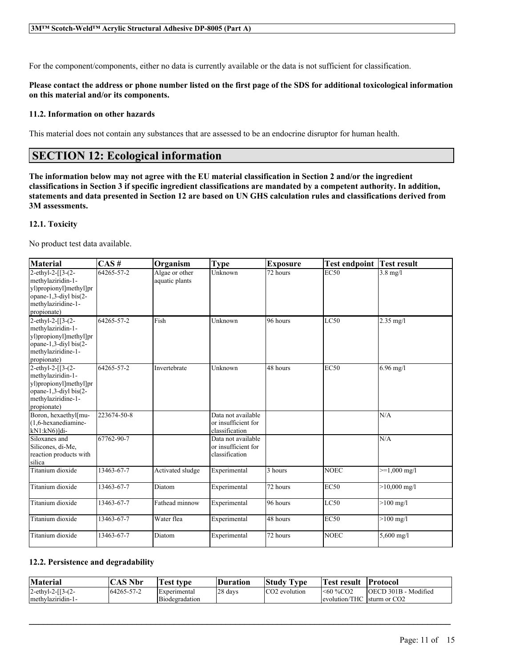For the component/components, either no data is currently available or the data is not sufficient for classification.

#### Please contact the address or phone number listed on the first page of the SDS for additional toxicological information **on this material and/or its components.**

#### **11.2. Information on other hazards**

This material does not contain any substances that are assessed to be an endocrine disruptor for human health.

### **SECTION 12: Ecological information**

The information below may not agree with the EU material classification in Section 2 and/or the ingredient classifications in Section 3 if specific ingredient classifications are mandated by a competent authority. In addition, statements and data presented in Section 12 are based on UN GHS calculation rules and classifications derived from **3M assessments.**

#### **12.1. Toxicity**

No product test data available.

| <b>Material</b>                                                                                                                | CAS#             | Organism                         | <b>Type</b>                                                 | <b>Exposure</b>       | <b>Test endpoint</b> | <b>Test result</b>     |
|--------------------------------------------------------------------------------------------------------------------------------|------------------|----------------------------------|-------------------------------------------------------------|-----------------------|----------------------|------------------------|
| 2-ethyl-2-[[3-(2-<br>methylaziridin-1-<br>yl)propionyl]methyl]pr<br>opane-1,3-diyl bis(2-<br>methylaziridine-1-<br>propionate) | 64265-57-2       | Algae or other<br>aquatic plants | Unknown                                                     | 72 hours              | <b>EC50</b>          | $3.8 \text{ mg}/l$     |
| 2-ethyl-2-[[3-(2-<br>methylaziridin-1-<br>yl)propionyl]methyl]pr<br>opane-1,3-diyl bis(2-<br>methylaziridine-1-<br>propionate) | $64265 - 57 - 2$ | Fish                             | Unknown                                                     | 96 hours              | LC50                 | $2.35$ mg/l            |
| 2-ethyl-2-[[3-(2-<br>methylaziridin-1-<br>yl)propionyl]methyl]pr<br>opane-1,3-diyl bis(2-<br>methylaziridine-1-<br>propionate) | 64265-57-2       | Invertebrate                     | Unknown                                                     | 48 hours              | <b>EC50</b>          | $6.96$ mg/l            |
| Boron, hexaethyl[mu-<br>$(1.6$ -hexanediamine-<br>$kN1:kN6$ ]di-                                                               | 223674-50-8      |                                  | Data not available<br>or insufficient for<br>classification |                       |                      | N/A                    |
| Siloxanes and<br>Silicones, di-Me,<br>reaction products with<br>silica                                                         | 67762-90-7       |                                  | Data not available<br>or insufficient for<br>classification |                       |                      | N/A                    |
| Titanium dioxide                                                                                                               | 13463-67-7       | Activated sludge                 | Experimental                                                | 3 hours               | <b>NOEC</b>          | $>=1,000 \text{ mg/l}$ |
| Titanium dioxide                                                                                                               | 13463-67-7       | Diatom                           | Experimental                                                | $\overline{72}$ hours | <b>EC50</b>          | $>10,000$ mg/l         |
| Titanium dioxide                                                                                                               | 13463-67-7       | Fathead minnow                   | Experimental                                                | 96 hours              | LC50                 | $>100$ mg/l            |
| Titanium dioxide                                                                                                               | 13463-67-7       | Water flea                       | Experimental                                                | 48 hours              | <b>EC50</b>          | $>100$ mg/l            |
| Titanium dioxide                                                                                                               | 13463-67-7       | Diatom                           | Experimental                                                | 72 hours              | <b>NOEC</b>          | $5,600 \text{ mg/l}$   |

#### **12.2. Persistence and degradability**

| <b>Material</b>        | $\bigcap$ AS Nbr | fest type             | Duration | <b>Study Type</b>         | `Test result⊔                | <b>Protocol</b>       |
|------------------------|------------------|-----------------------|----------|---------------------------|------------------------------|-----------------------|
| $2$ -ethyl-2- $[3-(2-$ | 164265-57-2      | Experimental          | 28 days  | CO <sub>2</sub> evolution | <60 %CO2                     | lOECD 301B - Modified |
| methylaziridin-1-      |                  | <b>Biodegradation</b> |          |                           | levolution/THC 1sturm or CO2 |                       |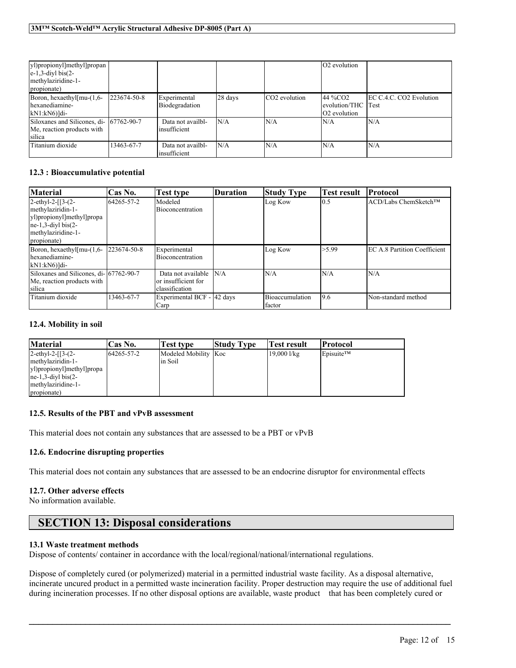| yl)propionyl]methyl]propan<br>$\left e-1,3-\text{div}\right $ bis(2-<br>methylaziridine-1-<br>propionate) |             |                                   |         |                           | O2 evolution                                                |                         |
|-----------------------------------------------------------------------------------------------------------|-------------|-----------------------------------|---------|---------------------------|-------------------------------------------------------------|-------------------------|
| Boron, hexaethyl $\lceil \text{mu} - (1, 6 - \text{h} \rceil)$<br>hexanediamine-<br>$kN1:kN6$ ]di-        | 223674-50-8 | Experimental<br>Biodegradation    | 28 days | CO <sub>2</sub> evolution | 44 %CO <sub>2</sub><br>levolution/THC lTest<br>O2 evolution | EC C.4.C. CO2 Evolution |
| Siloxanes and Silicones, di- 67762-90-7<br>Me, reaction products with<br>silica                           |             | Data not availbl-<br>insufficient | N/A     | N/A                       | N/A                                                         | IN/A                    |
| Titanium dioxide                                                                                          | 13463-67-7  | Data not availbl-<br>insufficient | N/A     | N/A                       | N/A                                                         | IN/A                    |

#### **12.3 : Bioaccumulative potential**

| <b>Material</b>                                                                                                                        | Cas No.    | Test type                                                   | Duration | <b>Study Type</b>         | Test result      | Protocol                             |
|----------------------------------------------------------------------------------------------------------------------------------------|------------|-------------------------------------------------------------|----------|---------------------------|------------------|--------------------------------------|
| 2-ethyl-2- $[3-(2-$<br>methylaziridin-1-<br>yl)propionyl]methyl]propa<br>$ne-1,3$ -diyl bis $(2-$<br>methylaziridine-1-<br>propionate) | 64265-57-2 | Modeled<br>Bioconcentration                                 |          | Log Kow                   | $\overline{0.5}$ | ACD/Labs ChemSketch™                 |
| Boron, hexaethyl[mu-(1,6- 223674-50-8<br>hexanediamine-<br>$kN1:kN6$ ]di-                                                              |            | Experimental<br><b>Bioconcentration</b>                     |          | Log Kow                   | >5.99            | <b>IEC A.8 Partition Coefficient</b> |
| Siloxanes and Silicones, di-167762-90-7<br>Me, reaction products with<br>silica                                                        |            | Data not available<br>or insufficient for<br>classification | N/A      | N/A                       | N/A              | N/A                                  |
| Titanium dioxide                                                                                                                       | 13463-67-7 | Experimental BCF - 42 days<br>Carp                          |          | Bioaccumulation<br>factor | 9.6              | Non-standard method                  |

#### **12.4. Mobility in soil**

| <b>Material</b>           | Cas No.     | Test type            | <b>Study Type</b> | Test result   | Protocol  |
|---------------------------|-------------|----------------------|-------------------|---------------|-----------|
| $2-ethyl-2-[3-(2-$        | 164265-57-2 | Modeled Mobility Koc |                   | $19,000$ l/kg | Episuite™ |
| methylaziridin-1-         |             | in Soil              |                   |               |           |
| yl)propionyl]methyl]propa |             |                      |                   |               |           |
| $ne-1,3$ -divl bis $(2-$  |             |                      |                   |               |           |
| methylaziridine-1-        |             |                      |                   |               |           |
| propionate)               |             |                      |                   |               |           |

#### **12.5. Results of the PBT and vPvB assessment**

This material does not contain any substances that are assessed to be a PBT or vPvB

#### **12.6. Endocrine disrupting properties**

This material does not contain any substances that are assessed to be an endocrine disruptor for environmental effects

#### **12.7. Other adverse effects**

No information available.

### **SECTION 13: Disposal considerations**

#### **13.1 Waste treatment methods**

Dispose of contents/ container in accordance with the local/regional/national/international regulations.

Dispose of completely cured (or polymerized) material in a permitted industrial waste facility. As a disposal alternative, incinerate uncured product in a permitted waste incineration facility. Proper destruction may require the use of additional fuel during incineration processes. If no other disposal options are available, waste product that has been completely cured or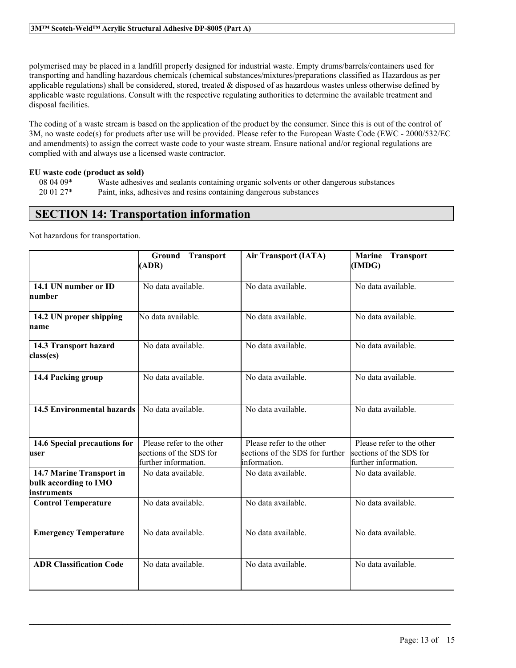polymerised may be placed in a landfill properly designed for industrial waste. Empty drums/barrels/containers used for transporting and handling hazardous chemicals (chemical substances/mixtures/preparations classified as Hazardous as per applicable regulations) shall be considered, stored, treated  $\&$  disposed of as hazardous wastes unless otherwise defined by applicable waste regulations. Consult with the respective regulating authorities to determine the available treatment and disposal facilities.

The coding of a waste stream is based on the application of the product by the consumer. Since this is out of the control of 3M, no waste code(s) for products after use will be provided. Please refer to the European Waste Code (EWC - 2000/532/EC and amendments) to assign the correct waste code to your waste stream. Ensure national and/or regional regulations are complied with and always use a licensed waste contractor.

#### **EU waste code (product as sold)**

| $080409*$ | Waste adhesives and sealants containing organic solvents or other dangerous substances |
|-----------|----------------------------------------------------------------------------------------|
| $200127*$ | Paint, inks, adhesives and resins containing dangerous substances                      |

### **SECTION 14: Transportation information**

Not hazardous for transportation.

|                                                                   | <b>Ground Transport</b><br>(ADR)                                             | <b>Air Transport (IATA)</b>                                                  | <b>Marine</b><br><b>Transport</b><br>(IMDG)                                  |
|-------------------------------------------------------------------|------------------------------------------------------------------------------|------------------------------------------------------------------------------|------------------------------------------------------------------------------|
| 14.1 UN number or ID<br>number                                    | No data available.                                                           | No data available                                                            | No data available.                                                           |
| 14.2 UN proper shipping<br>name                                   | No data available.                                                           | No data available.                                                           | No data available.                                                           |
| 14.3 Transport hazard<br>class(es)                                | No data available.                                                           | No data available.                                                           | No data available.                                                           |
| 14.4 Packing group                                                | No data available.                                                           | No data available.                                                           | No data available.                                                           |
| <b>14.5 Environmental hazards</b>                                 | No data available.                                                           | No data available.                                                           | No data available.                                                           |
| 14.6 Special precautions for<br>user                              | Please refer to the other<br>sections of the SDS for<br>further information. | Please refer to the other<br>sections of the SDS for further<br>information. | Please refer to the other<br>sections of the SDS for<br>further information. |
| 14.7 Marine Transport in<br>bulk according to IMO<br>linstruments | No data available.                                                           | No data available.                                                           | No data available.                                                           |
| <b>Control Temperature</b>                                        | No data available.                                                           | No data available.                                                           | No data available.                                                           |
| <b>Emergency Temperature</b>                                      | No data available.                                                           | No data available.                                                           | No data available.                                                           |
| <b>ADR Classification Code</b>                                    | No data available.                                                           | No data available.                                                           | No data available.                                                           |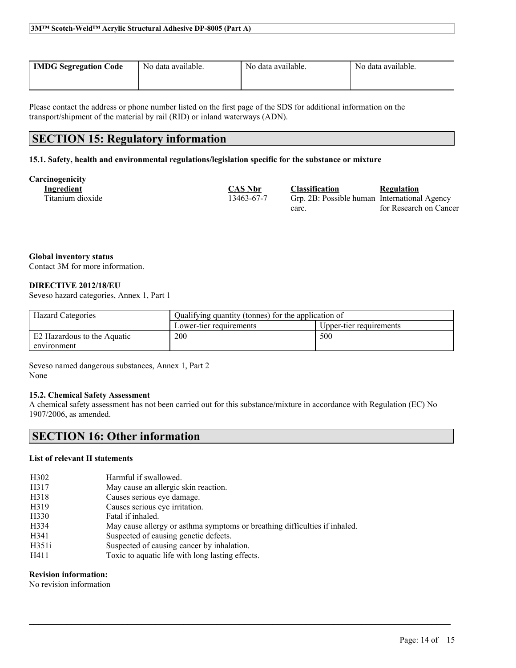| <b>IMDG Segregation Code</b> | No data available. | No data available. | No data available. |
|------------------------------|--------------------|--------------------|--------------------|
|                              |                    |                    |                    |

Please contact the address or phone number listed on the first page of the SDS for additional information on the transport/shipment of the material by rail (RID) or inland waterways (ADN).

### **SECTION 15: Regulatory information**

#### **15.1. Safety, health and environmental regulations/legislation specific for the substance or mixture**

#### **Carcinogenicity**

| енгодениет       |                |                                              |                        |
|------------------|----------------|----------------------------------------------|------------------------|
| Ingredient       | <b>CAS Nbr</b> | <b>Classification</b>                        | Regulation             |
| Titanium dioxide | 13463-67-7     | Grp. 2B: Possible human International Agency |                        |
|                  |                | carc.                                        | for Research on Cancer |

**Global inventory status**

Contact 3M for more information.

#### **DIRECTIVE 2012/18/EU**

Seveso hazard categories, Annex 1, Part 1

| <b>Hazard Categories</b>    | Qualifying quantity (tonnes) for the application of |                         |
|-----------------------------|-----------------------------------------------------|-------------------------|
|                             | Lower-tier requirements                             | Upper-tier requirements |
| E2 Hazardous to the Aquatic | 200                                                 | 500                     |
| environment                 |                                                     |                         |

Seveso named dangerous substances, Annex 1, Part 2 None

#### **15.2. Chemical Safety Assessment**

A chemical safety assessment has not been carried out for this substance/mixture in accordance with Regulation (EC) No 1907/2006, as amended.

 $\mathcal{L}_\mathcal{L} = \mathcal{L}_\mathcal{L} = \mathcal{L}_\mathcal{L} = \mathcal{L}_\mathcal{L} = \mathcal{L}_\mathcal{L} = \mathcal{L}_\mathcal{L} = \mathcal{L}_\mathcal{L} = \mathcal{L}_\mathcal{L} = \mathcal{L}_\mathcal{L} = \mathcal{L}_\mathcal{L} = \mathcal{L}_\mathcal{L} = \mathcal{L}_\mathcal{L} = \mathcal{L}_\mathcal{L} = \mathcal{L}_\mathcal{L} = \mathcal{L}_\mathcal{L} = \mathcal{L}_\mathcal{L} = \mathcal{L}_\mathcal{L}$ 

### **SECTION 16: Other information**

#### **List of relevant H statements**

| H <sub>3</sub> 02 | Harmful if swallowed.                                                      |
|-------------------|----------------------------------------------------------------------------|
| H317              | May cause an allergic skin reaction.                                       |
| H318              | Causes serious eye damage.                                                 |
| H319              | Causes serious eye irritation.                                             |
| H330              | Fatal if inhaled.                                                          |
| H334              | May cause allergy or asthma symptoms or breathing difficulties if inhaled. |
| H341              | Suspected of causing genetic defects.                                      |
| H351i             | Suspected of causing cancer by inhalation.                                 |
| H411              | Toxic to aquatic life with long lasting effects.                           |
|                   |                                                                            |

#### **Revision information:**

No revision information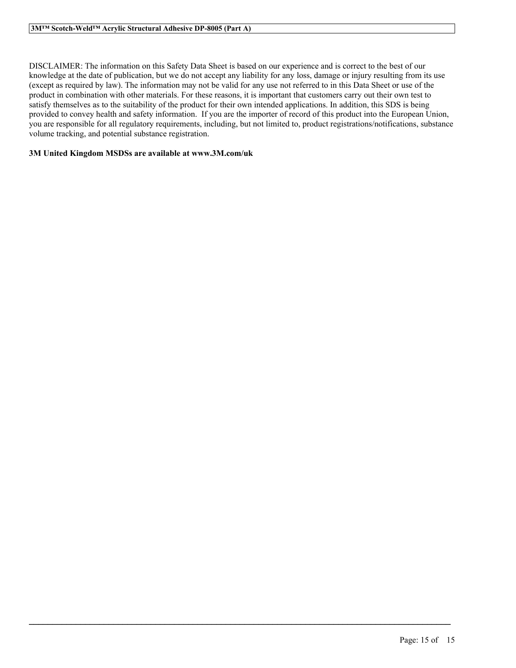DISCLAIMER: The information on this Safety Data Sheet is based on our experience and is correct to the best of our knowledge at the date of publication, but we do not accept any liability for any loss, damage or injury resulting from its use (except as required by law). The information may not be valid for any use not referred to in this Data Sheet or use of the product in combination with other materials. For these reasons, it is important that customers carry out their own test to satisfy themselves as to the suitability of the product for their own intended applications. In addition, this SDS is being provided to convey health and safety information. If you are the importer of record of this product into the European Union, you are responsible for all regulatory requirements, including, but not limited to, product registrations/notifications, substance volume tracking, and potential substance registration.

 $\mathcal{L}_\mathcal{L} = \mathcal{L}_\mathcal{L} = \mathcal{L}_\mathcal{L} = \mathcal{L}_\mathcal{L} = \mathcal{L}_\mathcal{L} = \mathcal{L}_\mathcal{L} = \mathcal{L}_\mathcal{L} = \mathcal{L}_\mathcal{L} = \mathcal{L}_\mathcal{L} = \mathcal{L}_\mathcal{L} = \mathcal{L}_\mathcal{L} = \mathcal{L}_\mathcal{L} = \mathcal{L}_\mathcal{L} = \mathcal{L}_\mathcal{L} = \mathcal{L}_\mathcal{L} = \mathcal{L}_\mathcal{L} = \mathcal{L}_\mathcal{L}$ 

#### **3M United Kingdom MSDSs are available at www.3M.com/uk**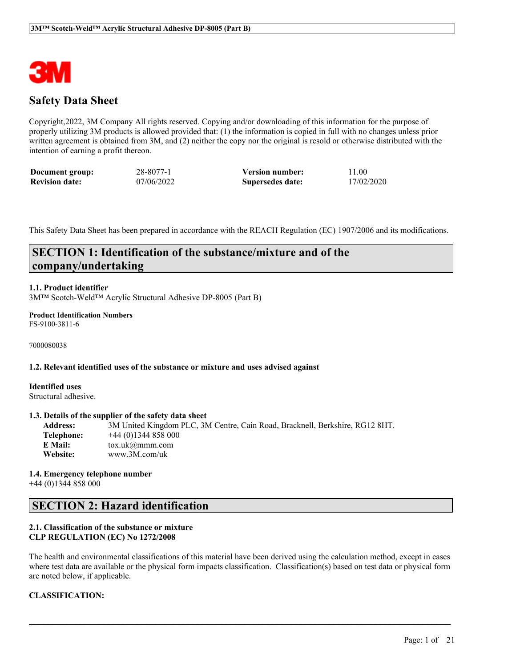

### **Safety Data Sheet**

Copyright,2022, 3M Company All rights reserved. Copying and/or downloading of this information for the purpose of properly utilizing 3M products is allowed provided that: (1) the information is copied in full with no changes unless prior written agreement is obtained from 3M, and (2) neither the copy nor the original is resold or otherwise distributed with the intention of earning a profit thereon.

| Document group:       | 28-8077-1  | <b>Version number:</b> | 11.00      |
|-----------------------|------------|------------------------|------------|
| <b>Revision date:</b> | 07/06/2022 | Supersedes date:       | 17/02/2020 |

This Safety Data Sheet has been prepared in accordance with the REACH Regulation (EC) 1907/2006 and its modifications.

### **SECTION 1: Identification of the substance/mixture and of the company/undertaking**

#### **1.1. Product identifier**

3M™ Scotch-Weld™ Acrylic Structural Adhesive DP-8005 (Part B)

### **Product Identification Numbers**

FS-9100-3811-6

7000080038

#### **1.2. Relevant identified uses of the substance or mixture and uses advised against**

**Identified uses** Structural adhesive.

#### **1.3. Details of the supplier of the safety data sheet**

**Address:** 3M United Kingdom PLC, 3M Centre, Cain Road, Bracknell, Berkshire, RG12 8HT. **Telephone:** +44 (0)1344 858 000 **E Mail:** tox.uk@mmm.com **Website:** www.3M.com/uk

**1.4. Emergency telephone number** +44 (0)1344 858 000

### **SECTION 2: Hazard identification**

#### **2.1. Classification of the substance or mixture CLP REGULATION (EC) No 1272/2008**

The health and environmental classifications of this material have been derived using the calculation method, except in cases where test data are available or the physical form impacts classification. Classification(s) based on test data or physical form are noted below, if applicable.

 $\mathcal{L}_\mathcal{L} = \mathcal{L}_\mathcal{L} = \mathcal{L}_\mathcal{L} = \mathcal{L}_\mathcal{L} = \mathcal{L}_\mathcal{L} = \mathcal{L}_\mathcal{L} = \mathcal{L}_\mathcal{L} = \mathcal{L}_\mathcal{L} = \mathcal{L}_\mathcal{L} = \mathcal{L}_\mathcal{L} = \mathcal{L}_\mathcal{L} = \mathcal{L}_\mathcal{L} = \mathcal{L}_\mathcal{L} = \mathcal{L}_\mathcal{L} = \mathcal{L}_\mathcal{L} = \mathcal{L}_\mathcal{L} = \mathcal{L}_\mathcal{L}$ 

#### **CLASSIFICATION:**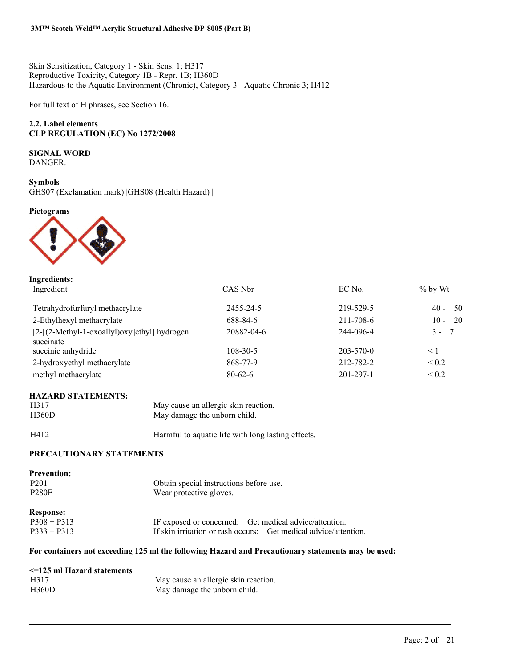Skin Sensitization, Category 1 - Skin Sens. 1; H317 Reproductive Toxicity, Category 1B - Repr. 1B; H360D Hazardous to the Aquatic Environment (Chronic), Category 3 - Aquatic Chronic 3; H412

For full text of H phrases, see Section 16.

#### **2.2. Label elements CLP REGULATION (EC) No 1272/2008**

#### **SIGNAL WORD**

DANGER.

#### **Symbols**

GHS07 (Exclamation mark) |GHS08 (Health Hazard) |

#### **Pictograms**



| CAS Nbr        | EC No.          | $%$ by Wt               |
|----------------|-----------------|-------------------------|
| 2455-24-5      | 219-529-5       | - 50<br>$40 -$          |
| 688-84-6       | 211-708-6       | $10 - 20$               |
| 20882-04-6     | 244-096-4       | $3 -$<br>$\overline{7}$ |
| $108 - 30 - 5$ | $203 - 570 - 0$ | $\leq$ 1                |
| 868-77-9       | 212-782-2       | ${}_{0.2}$              |
| $80 - 62 - 6$  | $201 - 297 - 1$ | ${}_{0.2}$              |
|                |                 |                         |

#### **HAZARD STATEMENTS:**

| H317  | May cause an allergic skin reaction. |
|-------|--------------------------------------|
| H360D | May damage the unborn child.         |

### H412 Harmful to aquatic life with long lasting effects.

#### **PRECAUTIONARY STATEMENTS**

| <b>Prevention:</b><br>P <sub>201</sub><br><b>P280E</b> | Obtain special instructions before use.<br>Wear protective gloves.                                                         |
|--------------------------------------------------------|----------------------------------------------------------------------------------------------------------------------------|
| <b>Response:</b><br>$P308 + P313$<br>$P333 + P313$     | IF exposed or concerned: Get medical advice/attention.<br>If skin irritation or rash occurs: Get medical advice/attention. |

#### **For containers not exceeding 125 ml the following Hazard and Precautionary statements may be used:**

| $\leq$ =125 ml Hazard statements |                                      |
|----------------------------------|--------------------------------------|
| H317                             | May cause an allergic skin reaction. |
| H360D                            | May damage the unborn child.         |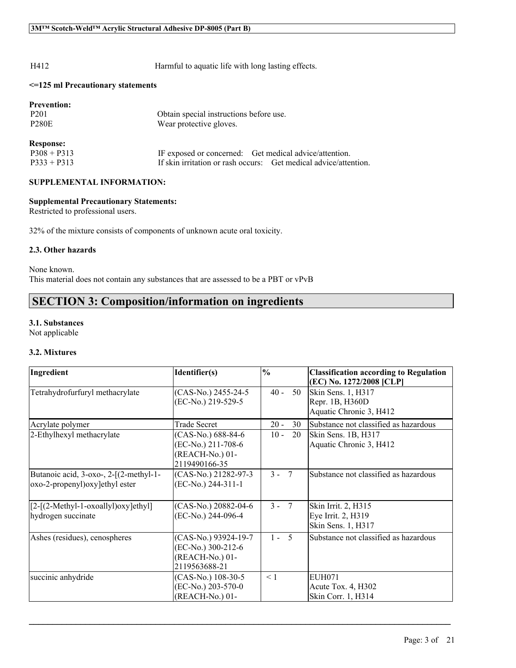H412 Harmful to aquatic life with long lasting effects.

#### **<=125 ml Precautionary statements**

| Obtain special instructions before use.                          |
|------------------------------------------------------------------|
| Wear protective gloves.                                          |
|                                                                  |
| IF exposed or concerned: Get medical advice/attention.           |
| If skin irritation or rash occurs: Get medical advice/attention. |
|                                                                  |

#### **SUPPLEMENTAL INFORMATION:**

#### **Supplemental Precautionary Statements:**

Restricted to professional users.

32% of the mixture consists of components of unknown acute oral toxicity.

#### **2.3. Other hazards**

None known. This material does not contain any substances that are assessed to be a PBT or vPvB

### **SECTION 3: Composition/information on ingredients**

#### **3.1. Substances**

Not applicable

#### **3.2. Mixtures**

| Ingredient                                                                 | Identifier(s)                                                                  | $\frac{0}{0}$            | <b>Classification according to Regulation</b><br>(EC) No. 1272/2008 [CLP] |
|----------------------------------------------------------------------------|--------------------------------------------------------------------------------|--------------------------|---------------------------------------------------------------------------|
| Tetrahydrofurfuryl methacrylate                                            | (CAS-No.) 2455-24-5<br>(EC-No.) 219-529-5                                      | $40 -$<br>50             | Skin Sens. 1, H317<br>Repr. 1B, H360D<br>Aquatic Chronic 3, H412          |
| Acrylate polymer                                                           | <b>Trade Secret</b>                                                            | $20 -$<br>30             | Substance not classified as hazardous                                     |
| 2-Ethylhexyl methacrylate                                                  | (CAS-No.) 688-84-6<br>(EC-No.) 211-708-6<br>(REACH-No.) 01-<br>2119490166-35   | $10 -$<br>20             | Skin Sens. 1B, H317<br>Aquatic Chronic 3, H412                            |
| Butanoic acid, 3-oxo-, 2-[(2-methyl-1-<br>oxo-2-propenyl) oxy lethyl ester | (CAS-No.) 21282-97-3<br>(EC-No.) 244-311-1                                     | $3 -$<br>$7\phantom{.0}$ | Substance not classified as hazardous                                     |
| $[2-[2-Methyl-1-oxoallyl)oxy]ethyl]$<br>hydrogen succinate                 | (CAS-No.) 20882-04-6<br>(EC-No.) 244-096-4                                     | $3 - 7$                  | Skin Irrit. 2, H315<br>Eye Irrit. 2, H319<br>Skin Sens. 1, H317           |
| Ashes (residues), cenospheres                                              | (CAS-No.) 93924-19-7<br>(EC-No.) 300-212-6<br>(REACH-No.) 01-<br>2119563688-21 | $1 - 5$                  | Substance not classified as hazardous                                     |
| succinic anhydride                                                         | (CAS-No.) 108-30-5<br>(EC-No.) 203-570-0<br>(REACH-No.) 01-                    | < 1                      | <b>EUH071</b><br>Acute Tox. $4, H302$<br>Skin Corr. 1, H314               |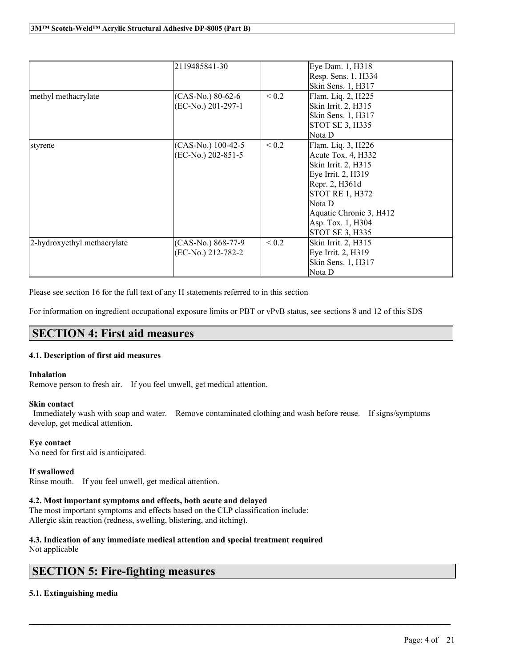|                             | 2119485841-30                            |            | Eye Dam. 1, H318<br>Resp. Sens. 1, H334<br>Skin Sens. 1, H317                                                                                                                                                   |
|-----------------------------|------------------------------------------|------------|-----------------------------------------------------------------------------------------------------------------------------------------------------------------------------------------------------------------|
| methyl methacrylate         | (CAS-No.) 80-62-6<br>(EC-No.) 201-297-1  | ${}_{0.2}$ | Flam. Liq. 2, H225<br>Skin Irrit. 2, H315<br>Skin Sens. 1, H317<br><b>STOT SE 3, H335</b><br> Nota D                                                                                                            |
| styrene                     | (CAS-No.) 100-42-5<br>(EC-No.) 202-851-5 | ${}_{0.2}$ | Flam. Liq. 3, H226<br>Acute Tox. 4, H332<br>Skin Irrit. 2, H315<br>Eye Irrit. 2, H319<br>Repr. 2, H361d<br><b>STOT RE 1, H372</b><br> Nota D<br>Aquatic Chronic 3, H412<br>Asp. Tox. 1, H304<br>STOT SE 3, H335 |
| 2-hydroxyethyl methacrylate | (CAS-No.) 868-77-9<br>(EC-No.) 212-782-2 | ${}_{0.2}$ | Skin Irrit. 2, H315<br>Eye Irrit. 2, H319<br>Skin Sens. 1, H317<br>Nota D                                                                                                                                       |

Please see section 16 for the full text of any H statements referred to in this section

For information on ingredient occupational exposure limits or PBT or vPvB status, see sections 8 and 12 of this SDS

### **SECTION 4: First aid measures**

#### **4.1. Description of first aid measures**

#### **Inhalation**

Remove person to fresh air. If you feel unwell, get medical attention.

#### **Skin contact**

Immediately wash with soap and water. Remove contaminated clothing and wash before reuse. If signs/symptoms develop, get medical attention.

 $\mathcal{L}_\mathcal{L} = \mathcal{L}_\mathcal{L} = \mathcal{L}_\mathcal{L} = \mathcal{L}_\mathcal{L} = \mathcal{L}_\mathcal{L} = \mathcal{L}_\mathcal{L} = \mathcal{L}_\mathcal{L} = \mathcal{L}_\mathcal{L} = \mathcal{L}_\mathcal{L} = \mathcal{L}_\mathcal{L} = \mathcal{L}_\mathcal{L} = \mathcal{L}_\mathcal{L} = \mathcal{L}_\mathcal{L} = \mathcal{L}_\mathcal{L} = \mathcal{L}_\mathcal{L} = \mathcal{L}_\mathcal{L} = \mathcal{L}_\mathcal{L}$ 

#### **Eye contact**

No need for first aid is anticipated.

#### **If swallowed**

Rinse mouth. If you feel unwell, get medical attention.

#### **4.2. Most important symptoms and effects, both acute and delayed**

The most important symptoms and effects based on the CLP classification include: Allergic skin reaction (redness, swelling, blistering, and itching).

### **4.3. Indication of any immediate medical attention and special treatment required**

Not applicable

### **SECTION 5: Fire-fighting measures**

#### **5.1. Extinguishing media**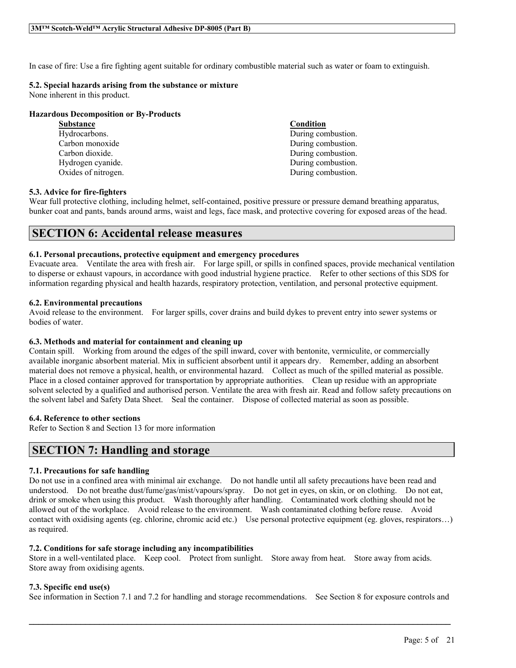In case of fire: Use a fire fighting agent suitable for ordinary combustible material such as water or foam to extinguish.

#### **5.2. Special hazards arising from the substance or mixture**

None inherent in this product.

#### **Hazardous Decomposition or By-Products**

**Substance Condition**

Hydrocarbons.<br>
Carbon monoxide Carbon and Carbon and Carbon and Carbon and Carbon and Carbon and Carbon and Carbon and Carbon and Carbon and Carbon and Carbon and Carbon and Carbon and Carbon and Carbon and Carbon and Carb Carbon monoxide During combustion.<br>
Carbon dioxide.<br>
Carbon dioxide. During combustion. Hydrogen cyanide. During combustion. Oxides of nitrogen. During combustion.

#### **5.3. Advice for fire-fighters**

Wear full protective clothing, including helmet, self-contained, positive pressure or pressure demand breathing apparatus, bunker coat and pants, bands around arms, waist and legs, face mask, and protective covering for exposed areas of the head.

### **SECTION 6: Accidental release measures**

#### **6.1. Personal precautions, protective equipment and emergency procedures**

Evacuate area. Ventilate the area with fresh air. For large spill, or spills in confined spaces, provide mechanical ventilation to disperse or exhaust vapours, in accordance with good industrial hygiene practice. Refer to other sections of this SDS for information regarding physical and health hazards, respiratory protection, ventilation, and personal protective equipment.

#### **6.2. Environmental precautions**

Avoid release to the environment. For larger spills, cover drains and build dykes to prevent entry into sewer systems or bodies of water.

#### **6.3. Methods and material for containment and cleaning up**

Contain spill. Working from around the edges of the spill inward, cover with bentonite, vermiculite, or commercially available inorganic absorbent material. Mix in sufficient absorbent until it appears dry. Remember, adding an absorbent material does not remove a physical, health, or environmental hazard. Collect as much of the spilled material as possible. Place in a closed container approved for transportation by appropriate authorities. Clean up residue with an appropriate solvent selected by a qualified and authorised person. Ventilate the area with fresh air. Read and follow safety precautions on the solvent label and Safety Data Sheet. Seal the container. Dispose of collected material as soon as possible.

#### **6.4. Reference to other sections**

Refer to Section 8 and Section 13 for more information

### **SECTION 7: Handling and storage**

#### **7.1. Precautions for safe handling**

Do not use in a confined area with minimal air exchange. Do not handle until all safety precautions have been read and understood. Do not breathe dust/fume/gas/mist/vapours/spray. Do not get in eyes, on skin, or on clothing. Do not eat, drink or smoke when using this product. Wash thoroughly after handling. Contaminated work clothing should not be allowed out of the workplace. Avoid release to the environment. Wash contaminated clothing before reuse. Avoid contact with oxidising agents (eg. chlorine, chromic acid etc.) Use personal protective equipment (eg. gloves, respirators…) as required.

#### **7.2. Conditions for safe storage including any incompatibilities**

Store in a well-ventilated place. Keep cool. Protect from sunlight. Store away from heat. Store away from acids. Store away from oxidising agents.

#### **7.3. Specific end use(s)**

See information in Section 7.1 and 7.2 for handling and storage recommendations. See Section 8 for exposure controls and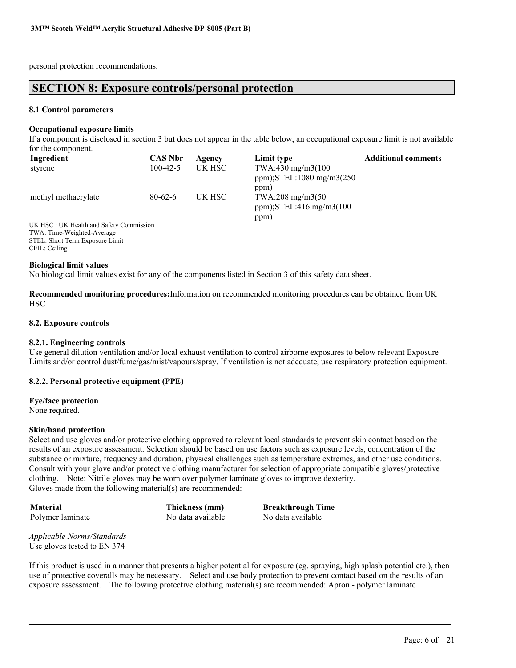personal protection recommendations.

### **SECTION 8: Exposure controls/personal protection**

#### **8.1 Control parameters**

#### **Occupational exposure limits**

If a component is disclosed in section 3 but does not appear in the table below, an occupational exposure limit is not available for the component.

| Ingredient                                | <b>CAS Nbr</b> | Agency | Limit type                                                      | <b>Additional comments</b> |
|-------------------------------------------|----------------|--------|-----------------------------------------------------------------|----------------------------|
| stvrene                                   | $100-42-5$     | UK HSC | $TWA:430 \text{ mg/m}3(100)$<br>ppm); $STEL:1080$ mg/m $3(250)$ |                            |
| methyl methacrylate                       | $80-62-6$      | UK HSC | ppm)<br>TWA:208 mg/m3(50<br>ppm); $STEL:416$ mg/m $3(100$       |                            |
| IV HSC · IIV Health and Safety Commission |                |        | ppm)                                                            |                            |

UK HSC : UK Health and Safety Commission TWA: Time-Weighted-Average STEL: Short Term Exposure Limit CEIL: Ceiling

#### **Biological limit values**

No biological limit values exist for any of the components listed in Section 3 of this safety data sheet.

**Recommended monitoring procedures:**Information on recommended monitoring procedures can be obtained from UK HSC

#### **8.2. Exposure controls**

#### **8.2.1. Engineering controls**

Use general dilution ventilation and/or local exhaust ventilation to control airborne exposures to below relevant Exposure Limits and/or control dust/fume/gas/mist/vapours/spray. If ventilation is not adequate, use respiratory protection equipment.

#### **8.2.2. Personal protective equipment (PPE)**

**Eye/face protection** None required.

#### **Skin/hand protection**

Select and use gloves and/or protective clothing approved to relevant local standards to prevent skin contact based on the results of an exposure assessment. Selection should be based on use factors such as exposure levels, concentration of the substance or mixture, frequency and duration, physical challenges such as temperature extremes, and other use conditions. Consult with your glove and/or protective clothing manufacturer for selection of appropriate compatible gloves/protective clothing. Note: Nitrile gloves may be worn over polymer laminate gloves to improve dexterity. Gloves made from the following material(s) are recommended:

Polymer laminate No data available No data available

**Material Thickness (mm) Breakthrough Time**

*Applicable Norms/Standards* Use gloves tested to EN 374

If this product is used in a manner that presents a higher potential for exposure (eg. spraying, high splash potential etc.), then use of protective coveralls may be necessary. Select and use body protection to prevent contact based on the results of an exposure assessment. The following protective clothing material(s) are recommended: Apron - polymer laminate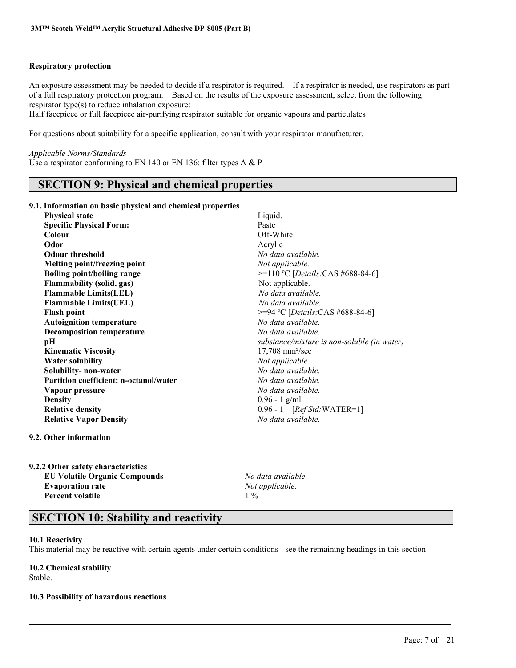#### **Respiratory protection**

An exposure assessment may be needed to decide if a respirator is required. If a respirator is needed, use respirators as part of a full respiratory protection program. Based on the results of the exposure assessment, select from the following respirator type(s) to reduce inhalation exposure:

Half facepiece or full facepiece air-purifying respirator suitable for organic vapours and particulates

For questions about suitability for a specific application, consult with your respirator manufacturer.

#### *Applicable Norms/Standards*

Use a respirator conforming to EN 140 or EN 136: filter types A & P

### **SECTION 9: Physical and chemical properties**

#### **9.1. Information on basic physical and chemical properties**

| <b>Physical state</b>                         | Liquid.                                     |
|-----------------------------------------------|---------------------------------------------|
| <b>Specific Physical Form:</b>                | Paste                                       |
| Colour                                        | Off-White                                   |
| Odor                                          | Acrylic                                     |
| <b>Odour threshold</b>                        | No data available.                          |
| Melting point/freezing point                  | Not applicable.                             |
| <b>Boiling point/boiling range</b>            | $>=110 °C$ [Details: CAS #688-84-6]         |
| <b>Flammability (solid, gas)</b>              | Not applicable.                             |
| <b>Flammable Limits(LEL)</b>                  | No data available.                          |
| <b>Flammable Limits(UEL)</b>                  | No data available.                          |
| <b>Flash point</b>                            | $>=$ 94 °C [ <i>Details</i> :CAS #688-84-6] |
| <b>Autoignition temperature</b>               | No data available.                          |
| <b>Decomposition temperature</b>              | No data available.                          |
| pН                                            | substance/mixture is non-soluble (in water) |
| <b>Kinematic Viscosity</b>                    | $17,708$ mm <sup>2</sup> /sec               |
| <b>Water solubility</b>                       | Not applicable.                             |
| Solubility- non-water                         | No data available.                          |
| <b>Partition coefficient: n-octanol/water</b> | No data available.                          |
| Vapour pressure                               | No data available.                          |
| <b>Density</b>                                | $0.96 - 1$ g/ml                             |
| <b>Relative density</b>                       | $0.96 - 1$ [ <i>Ref Std:</i> WATER=1]       |
| <b>Relative Vapor Density</b>                 | No data available.                          |
|                                               |                                             |

#### **9.2. Other information**

**9.2.2 Other safety characteristics EU Volatile Organic Compounds** *No data available.* **Evaporation rate** *Not applicable.* **Percent volatile** 1 %

### **SECTION 10: Stability and reactivity**

#### **10.1 Reactivity**

This material may be reactive with certain agents under certain conditions - see the remaining headings in this section

 $\mathcal{L}_\mathcal{L} = \mathcal{L}_\mathcal{L} = \mathcal{L}_\mathcal{L} = \mathcal{L}_\mathcal{L} = \mathcal{L}_\mathcal{L} = \mathcal{L}_\mathcal{L} = \mathcal{L}_\mathcal{L} = \mathcal{L}_\mathcal{L} = \mathcal{L}_\mathcal{L} = \mathcal{L}_\mathcal{L} = \mathcal{L}_\mathcal{L} = \mathcal{L}_\mathcal{L} = \mathcal{L}_\mathcal{L} = \mathcal{L}_\mathcal{L} = \mathcal{L}_\mathcal{L} = \mathcal{L}_\mathcal{L} = \mathcal{L}_\mathcal{L}$ 

#### **10.2 Chemical stability**

Stable.

#### **10.3 Possibility of hazardous reactions**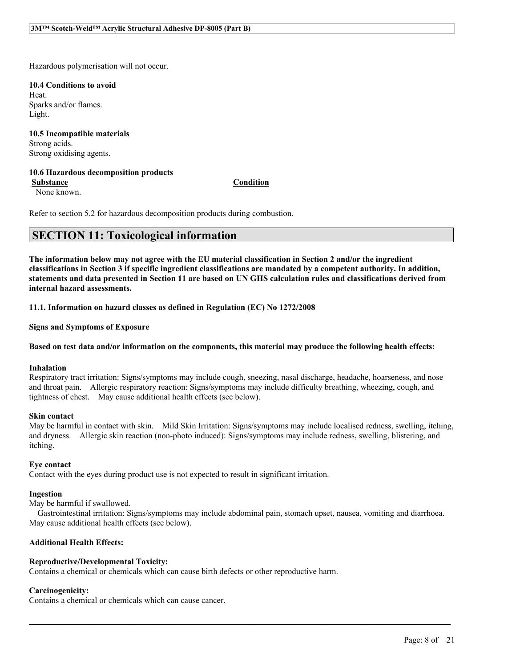Hazardous polymerisation will not occur.

**10.4 Conditions to avoid** Heat. Sparks and/or flames. Light.

**10.5 Incompatible materials** Strong acids. Strong oxidising agents.

#### **10.6 Hazardous decomposition products**

**Substance Condition**

None known.

Refer to section 5.2 for hazardous decomposition products during combustion.

### **SECTION 11: Toxicological information**

The information below may not agree with the EU material classification in Section 2 and/or the ingredient classifications in Section 3 if specific ingredient classifications are mandated by a competent authority. In addition, statements and data presented in Section 11 are based on UN GHS calculation rules and classifications derived from **internal hazard assessments.**

**11.1. Information on hazard classes as defined in Regulation (EC) No 1272/2008**

**Signs and Symptoms of Exposure**

#### Based on test data and/or information on the components, this material may produce the following health effects:

#### **Inhalation**

Respiratory tract irritation: Signs/symptoms may include cough, sneezing, nasal discharge, headache, hoarseness, and nose and throat pain. Allergic respiratory reaction: Signs/symptoms may include difficulty breathing, wheezing, cough, and tightness of chest. May cause additional health effects (see below).

#### **Skin contact**

May be harmful in contact with skin. Mild Skin Irritation: Signs/symptoms may include localised redness, swelling, itching, and dryness. Allergic skin reaction (non-photo induced): Signs/symptoms may include redness, swelling, blistering, and itching.

#### **Eye contact**

Contact with the eyes during product use is not expected to result in significant irritation.

#### **Ingestion**

May be harmful if swallowed.

Gastrointestinal irritation: Signs/symptoms may include abdominal pain, stomach upset, nausea, vomiting and diarrhoea. May cause additional health effects (see below).

 $\mathcal{L}_\mathcal{L} = \mathcal{L}_\mathcal{L} = \mathcal{L}_\mathcal{L} = \mathcal{L}_\mathcal{L} = \mathcal{L}_\mathcal{L} = \mathcal{L}_\mathcal{L} = \mathcal{L}_\mathcal{L} = \mathcal{L}_\mathcal{L} = \mathcal{L}_\mathcal{L} = \mathcal{L}_\mathcal{L} = \mathcal{L}_\mathcal{L} = \mathcal{L}_\mathcal{L} = \mathcal{L}_\mathcal{L} = \mathcal{L}_\mathcal{L} = \mathcal{L}_\mathcal{L} = \mathcal{L}_\mathcal{L} = \mathcal{L}_\mathcal{L}$ 

#### **Additional Health Effects:**

#### **Reproductive/Developmental Toxicity:**

Contains a chemical or chemicals which can cause birth defects or other reproductive harm.

#### **Carcinogenicity:**

Contains a chemical or chemicals which can cause cancer.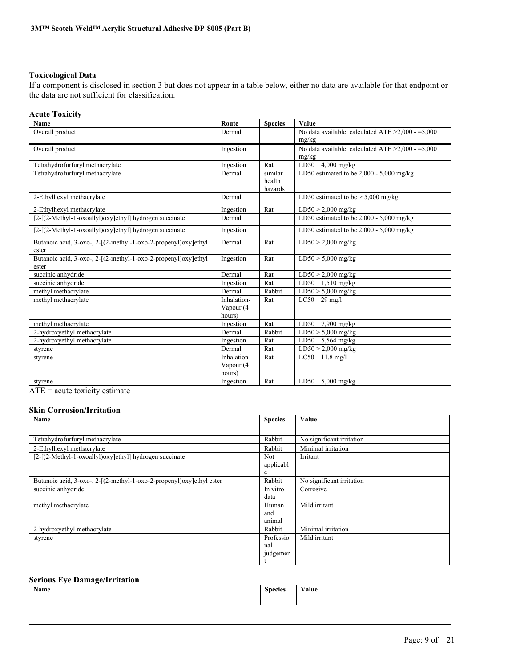#### **Toxicological Data**

If a component is disclosed in section 3 but does not appear in a table below, either no data are available for that endpoint or the data are not sufficient for classification.

#### **Acute Toxicity**

| Name                                                           | Route       | <b>Species</b> | <b>Value</b>                                            |
|----------------------------------------------------------------|-------------|----------------|---------------------------------------------------------|
| Overall product                                                | Dermal      |                | No data available; calculated ATE $\geq$ 2,000 - =5,000 |
|                                                                |             |                | mg/kg                                                   |
| Overall product                                                | Ingestion   |                | No data available; calculated ATE $\geq 2,000 - 5,000$  |
|                                                                |             |                | mg/kg                                                   |
| Tetrahydrofurfuryl methacrylate                                | Ingestion   | Rat            | LD50<br>$4,000$ mg/kg                                   |
| Tetrahydrofurfuryl methacrylate                                | Dermal      | similar        | LD50 estimated to be $2,000 - 5,000$ mg/kg              |
|                                                                |             | health         |                                                         |
|                                                                |             | hazards        |                                                         |
| 2-Ethylhexyl methacrylate                                      | Dermal      |                | LD50 estimated to be $> 5,000$ mg/kg                    |
| 2-Ethylhexyl methacrylate                                      | Ingestion   | Rat            | $LD50 > 2,000$ mg/kg                                    |
| [2-[(2-Methyl-1-oxoallyl)oxy]ethyl] hydrogen succinate         | Dermal      |                | LD50 estimated to be $2,000 - 5,000$ mg/kg              |
| [2-[(2-Methyl-1-oxoallyl)oxy]ethyl] hydrogen succinate         | Ingestion   |                | LD50 estimated to be $2,000 - 5,000$ mg/kg              |
| Butanoic acid, 3-oxo-, 2-[(2-methyl-1-oxo-2-propenyl)oxy]ethyl | Dermal      | Rat            | $LD50 > 2,000$ mg/kg                                    |
| ester                                                          |             |                |                                                         |
| Butanoic acid, 3-oxo-, 2-[(2-methyl-1-oxo-2-propenyl)oxy]ethyl | Ingestion   | Rat            | $LD50 > 5,000$ mg/kg                                    |
| ester                                                          |             |                |                                                         |
| succinic anhydride                                             | Dermal      | Rat            | $LD50 > 2,000$ mg/kg                                    |
| succinic anhydride                                             | Ingestion   | Rat            | LD50 $1,510$ mg/kg                                      |
| methyl methacrylate                                            | Dermal      | Rabbit         | $LD50 > 5,000$ mg/kg                                    |
| methyl methacrylate                                            | Inhalation- | Rat            | $LC50$ 29 mg/l                                          |
|                                                                | Vapour (4   |                |                                                         |
|                                                                | hours)      |                |                                                         |
| methyl methacrylate                                            | Ingestion   | Rat            | LD50<br>$7,900$ mg/kg                                   |
| 2-hydroxyethyl methacrylate                                    | Dermal      | Rabbit         | $LD50 > 5,000$ mg/kg                                    |
| 2-hydroxyethyl methacrylate                                    | Ingestion   | Rat            | LD50 $5,564$ mg/kg                                      |
| styrene                                                        | Dermal      | Rat            | $LD50 > 2,000$ mg/kg                                    |
| styrene                                                        | Inhalation- | Rat            | $LC50$ 11.8 mg/l                                        |
|                                                                | Vapour (4   |                |                                                         |
|                                                                | hours)      |                |                                                         |
| styrene                                                        | Ingestion   | Rat            | LD50 $5,000$ mg/kg                                      |

ATE = acute toxicity estimate

### **Skin Corrosion/Irritation**

| Name                                                                 | <b>Species</b>   | Value                     |
|----------------------------------------------------------------------|------------------|---------------------------|
|                                                                      |                  |                           |
| Tetrahydrofurfuryl methacrylate                                      | Rabbit           | No significant irritation |
| 2-Ethylhexyl methacrylate                                            | Rabbit           | Minimal irritation        |
| [2-[(2-Methyl-1-oxoallyl)oxy]ethyl] hydrogen succinate               | Not<br>applicabl | Irritant                  |
|                                                                      | e                |                           |
| Butanoic acid, 3-oxo-, 2-[(2-methyl-1-oxo-2-propenyl)oxy]ethyl ester | Rabbit           | No significant irritation |
| succinic anhydride                                                   | In vitro         | Corrosive                 |
|                                                                      | data             |                           |
| methyl methacrylate                                                  | Human            | Mild irritant             |
|                                                                      | and              |                           |
|                                                                      | animal           |                           |
| 2-hydroxyethyl methacrylate                                          | Rabbit           | Minimal irritation        |
| styrene                                                              | Professio        | Mild irritant             |
|                                                                      | nal              |                           |
|                                                                      | judgemen         |                           |
|                                                                      |                  |                           |

#### **Serious Eye Damage/Irritation**

| $\rightarrow$<br><b>Name</b> | <b>Species</b><br>$\sim$ | $\mathbf{X}$<br>∕alue |
|------------------------------|--------------------------|-----------------------|
|                              |                          |                       |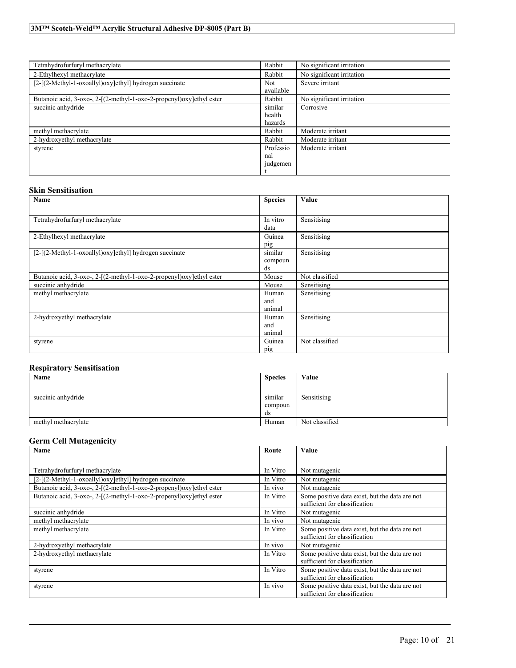| Tetrahydrofurfuryl methacrylate                                      | Rabbit    | No significant irritation |
|----------------------------------------------------------------------|-----------|---------------------------|
| 2-Ethylhexyl methacrylate                                            | Rabbit    | No significant irritation |
| [2-[(2-Methyl-1-oxoallyl)oxy]ethyl] hydrogen succinate               | Not.      | Severe irritant           |
|                                                                      | available |                           |
| Butanoic acid, 3-oxo-, 2-[(2-methyl-1-oxo-2-propenyl)oxy]ethyl ester | Rabbit    | No significant irritation |
| succinic anhydride                                                   | similar   | Corrosive                 |
|                                                                      | health    |                           |
|                                                                      | hazards   |                           |
| methyl methacrylate                                                  | Rabbit    | Moderate irritant         |
| 2-hydroxyethyl methacrylate                                          | Rabbit    | Moderate irritant         |
| styrene                                                              | Professio | Moderate irritant         |
|                                                                      | nal       |                           |
|                                                                      | judgemen  |                           |
|                                                                      |           |                           |

#### **Skin Sensitisation**

| Name                                                                 | <b>Species</b> | Value          |
|----------------------------------------------------------------------|----------------|----------------|
|                                                                      |                |                |
| Tetrahydrofurfuryl methacrylate                                      | In vitro       | Sensitising    |
|                                                                      | data           |                |
| 2-Ethylhexyl methacrylate                                            | Guinea         | Sensitising    |
|                                                                      | pig            |                |
| [2-[(2-Methyl-1-oxoallyl)oxy]ethyl] hydrogen succinate               | similar        | Sensitising    |
|                                                                      | compoun        |                |
|                                                                      | ds             |                |
| Butanoic acid, 3-oxo-, 2-[(2-methyl-1-oxo-2-propenyl)oxy]ethyl ester | Mouse          | Not classified |
| succinic anhydride                                                   | Mouse          | Sensitising    |
| methyl methacrylate                                                  | Human          | Sensitising    |
|                                                                      | and            |                |
|                                                                      | animal         |                |
| 2-hydroxyethyl methacrylate                                          | Human          | Sensitising    |
|                                                                      | and            |                |
|                                                                      | animal         |                |
| styrene                                                              | Guinea         | Not classified |
|                                                                      | pig            |                |

#### **Respiratory Sensitisation**

| Name                | <b>Species</b> | Value          |
|---------------------|----------------|----------------|
|                     |                |                |
| succinic anhydride  | similar        | Sensitising    |
|                     | compoun        |                |
|                     | ds             |                |
| methyl methacrylate | Human          | Not classified |

#### **Germ Cell Mutagenicity**

| Name                                                                 | Route    | Value                                                                           |
|----------------------------------------------------------------------|----------|---------------------------------------------------------------------------------|
|                                                                      |          |                                                                                 |
| Tetrahydrofurfuryl methacrylate                                      | In Vitro | Not mutagenic                                                                   |
| [2-[(2-Methyl-1-oxoallyl)oxy]ethyl] hydrogen succinate               | In Vitro | Not mutagenic                                                                   |
| Butanoic acid, 3-oxo-, 2-[(2-methyl-1-oxo-2-propenyl)oxy]ethyl ester | In vivo  | Not mutagenic                                                                   |
| Butanoic acid, 3-oxo-, 2-[(2-methyl-1-oxo-2-propenyl)oxy]ethyl ester | In Vitro | Some positive data exist, but the data are not<br>sufficient for classification |
| succinic anhydride                                                   | In Vitro | Not mutagenic                                                                   |
| methyl methacrylate                                                  | In vivo  | Not mutagenic                                                                   |
| methyl methacrylate                                                  | In Vitro | Some positive data exist, but the data are not<br>sufficient for classification |
| 2-hydroxyethyl methacrylate                                          | In vivo  | Not mutagenic                                                                   |
| 2-hydroxyethyl methacrylate                                          | In Vitro | Some positive data exist, but the data are not<br>sufficient for classification |
| styrene                                                              | In Vitro | Some positive data exist, but the data are not<br>sufficient for classification |
| styrene                                                              | In vivo  | Some positive data exist, but the data are not<br>sufficient for classification |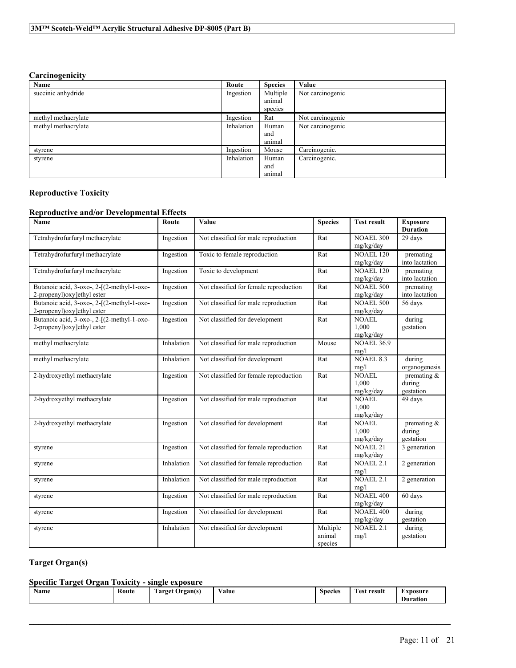### **Carcinogenicity**

| Name                | Route      | <b>Species</b> | Value            |
|---------------------|------------|----------------|------------------|
| succinic anhydride  | Ingestion  | Multiple       | Not carcinogenic |
|                     |            | animal         |                  |
|                     |            | species        |                  |
| methyl methacrylate | Ingestion  | Rat            | Not carcinogenic |
| methyl methacrylate | Inhalation | Human          | Not carcinogenic |
|                     |            | and            |                  |
|                     |            | animal         |                  |
| styrene             | Ingestion  | Mouse          | Carcinogenic.    |
| styrene             | Inhalation | Human          | Carcinogenic.    |
|                     |            | and            |                  |
|                     |            | animal         |                  |

#### **Reproductive Toxicity**

#### **Reproductive and/or Developmental Effects**

| <b>Name</b>                                                                | Route      | Value                                  | <b>Species</b>                | <b>Test result</b>                 | <b>Exposure</b><br><b>Duration</b>    |
|----------------------------------------------------------------------------|------------|----------------------------------------|-------------------------------|------------------------------------|---------------------------------------|
| Tetrahydrofurfuryl methacrylate                                            | Ingestion  | Not classified for male reproduction   | Rat                           | <b>NOAEL 300</b><br>mg/kg/day      | 29 days                               |
| Tetrahydrofurfuryl methacrylate                                            | Ingestion  | Toxic to female reproduction           | Rat                           | <b>NOAEL 120</b><br>mg/kg/day      | premating<br>into lactation           |
| Tetrahydrofurfuryl methacrylate                                            | Ingestion  | Toxic to development                   | Rat                           | <b>NOAEL 120</b><br>mg/kg/day      | premating<br>into lactation           |
| Butanoic acid, 3-oxo-, 2-[(2-methyl-1-oxo-<br>2-propenyl) oxy lethyl ester | Ingestion  | Not classified for female reproduction | Rat                           | <b>NOAEL 500</b><br>mg/kg/day      | premating<br>into lactation           |
| Butanoic acid, 3-oxo-, 2-[(2-methyl-1-oxo-<br>2-propenyl)oxy]ethyl ester   | Ingestion  | Not classified for male reproduction   | Rat                           | <b>NOAEL 500</b><br>mg/kg/day      | 56 days                               |
| Butanoic acid, 3-oxo-, 2-[(2-methyl-1-oxo-<br>2-propenyl) oxy lethyl ester | Ingestion  | Not classified for development         | Rat                           | <b>NOAEL</b><br>1.000<br>mg/kg/day | during<br>gestation                   |
| methyl methacrylate                                                        | Inhalation | Not classified for male reproduction   | Mouse                         | <b>NOAEL 36.9</b><br>mg/l          |                                       |
| methyl methacrylate                                                        | Inhalation | Not classified for development         | Rat                           | <b>NOAEL 8.3</b><br>mg/l           | during<br>organogenesis               |
| 2-hydroxyethyl methacrylate                                                | Ingestion  | Not classified for female reproduction | Rat                           | <b>NOAEL</b><br>1,000<br>mg/kg/day | premating &<br>during<br>gestation    |
| 2-hydroxyethyl methacrylate                                                | Ingestion  | Not classified for male reproduction   | Rat                           | <b>NOAEL</b><br>1,000<br>mg/kg/day | 49 days                               |
| 2-hydroxyethyl methacrylate                                                | Ingestion  | Not classified for development         | Rat                           | <b>NOAEL</b><br>1.000<br>mg/kg/day | premating $\&$<br>during<br>gestation |
| styrene                                                                    | Ingestion  | Not classified for female reproduction | Rat                           | <b>NOAEL 21</b><br>mg/kg/day       | 3 generation                          |
| styrene                                                                    | Inhalation | Not classified for female reproduction | Rat                           | <b>NOAEL 2.1</b><br>mg/l           | 2 generation                          |
| styrene                                                                    | Inhalation | Not classified for male reproduction   | Rat                           | <b>NOAEL 2.1</b><br>mg/l           | 2 generation                          |
| styrene                                                                    | Ingestion  | Not classified for male reproduction   | Rat                           | <b>NOAEL 400</b><br>mg/kg/day      | 60 days                               |
| styrene                                                                    | Ingestion  | Not classified for development         | Rat                           | <b>NOAEL 400</b><br>mg/kg/day      | during<br>gestation                   |
| styrene                                                                    | Inhalation | Not classified for development         | Multiple<br>animal<br>species | <b>NOAEL 2.1</b><br>mg/l           | during<br>gestation                   |

### **Target Organ(s)**

#### **Specific Target Organ Toxicity - single exposure**

| $-1$<br>Route<br><b>Name</b><br><b>CONTRACTOR</b><br><b>CONTRACT</b><br>result<br>⁄ alue<br>rarget<br>Exposure<br>Species<br>Organ(s<br><b>Pε1</b><br>.<br>$\cdots$<br>and the control of the<br>m<br>Duration |
|----------------------------------------------------------------------------------------------------------------------------------------------------------------------------------------------------------------|
|----------------------------------------------------------------------------------------------------------------------------------------------------------------------------------------------------------------|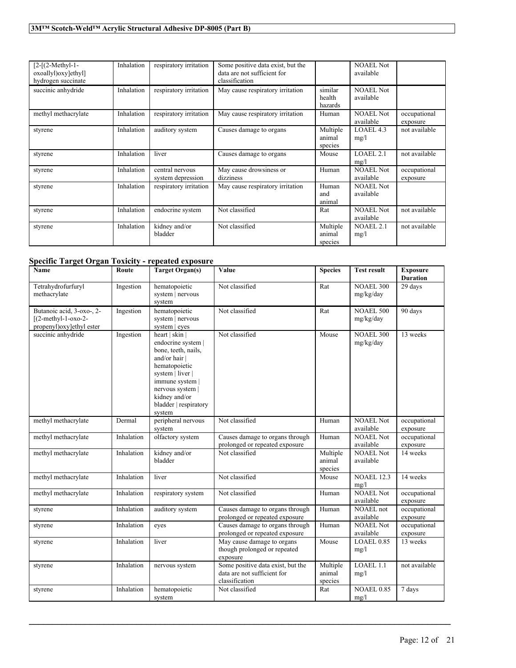| $[2-[2-Methyl-1-$<br>oxoallyl)oxy]ethyl]<br>hydrogen succinate | Inhalation | respiratory irritation               | Some positive data exist, but the<br>data are not sufficient for<br>classification |                               | <b>NOAEL Not</b><br>available |                          |
|----------------------------------------------------------------|------------|--------------------------------------|------------------------------------------------------------------------------------|-------------------------------|-------------------------------|--------------------------|
| succinic anhydride                                             | Inhalation | respiratory irritation               | May cause respiratory irritation                                                   | similar<br>health<br>hazards  | <b>NOAEL Not</b><br>available |                          |
| methyl methacrylate                                            | Inhalation | respiratory irritation               | May cause respiratory irritation                                                   | Human                         | <b>NOAEL Not</b><br>available | occupational<br>exposure |
| styrene                                                        | Inhalation | auditory system                      | Causes damage to organs                                                            | Multiple<br>animal<br>species | LOAEL 4.3<br>mg/l             | not available            |
| styrene                                                        | Inhalation | liver                                | Causes damage to organs                                                            | Mouse                         | LOAEL2.1<br>mg/l              | not available            |
| styrene                                                        | Inhalation | central nervous<br>system depression | May cause drowsiness or<br>dizziness                                               | Human                         | <b>NOAEL Not</b><br>available | occupational<br>exposure |
| styrene                                                        | Inhalation | respiratory irritation               | May cause respiratory irritation                                                   | Human<br>and<br>animal        | <b>NOAEL</b> Not<br>available |                          |
| styrene                                                        | Inhalation | endocrine system                     | Not classified                                                                     | Rat                           | <b>NOAEL Not</b><br>available | not available            |
| styrene                                                        | Inhalation | kidney and/or<br>bladder             | Not classified                                                                     | Multiple<br>animal<br>species | <b>NOAEL 2.1</b><br>mg/l      | not available            |

### **Specific Target Organ Toxicity - repeated exposure**

| Name                                                                           | Route      | <b>Target Organ(s)</b>                                                                                                                                                                                     | Value                                                                              | <b>Species</b>                | <b>Test result</b>            | <b>Exposure</b><br><b>Duration</b> |
|--------------------------------------------------------------------------------|------------|------------------------------------------------------------------------------------------------------------------------------------------------------------------------------------------------------------|------------------------------------------------------------------------------------|-------------------------------|-------------------------------|------------------------------------|
| Tetrahydrofurfuryl<br>methacrylate                                             | Ingestion  | hematopoietic<br>system   nervous<br>system                                                                                                                                                                | Not classified                                                                     | Rat                           | <b>NOAEL 300</b><br>mg/kg/day | 29 days                            |
| Butanoic acid, 3-oxo-, 2-<br>$[(2-methyl-1-oxo-2-$<br>propenyl)oxy]ethyl ester | Ingestion  | hematopoietic<br>system   nervous<br>system   eyes                                                                                                                                                         | Not classified                                                                     | Rat                           | <b>NOAEL 500</b><br>mg/kg/day | 90 days                            |
| succinic anhydride                                                             | Ingestion  | heart   skin  <br>endocrine system  <br>bone, teeth, nails,<br>and/or hair<br>hematopoietic<br>system   liver  <br>immune system  <br>nervous system  <br>kidney and/or<br>bladder   respiratory<br>system | Not classified                                                                     | Mouse                         | <b>NOAEL 300</b><br>mg/kg/day | 13 weeks                           |
| methyl methacrylate                                                            | Dermal     | peripheral nervous<br>system                                                                                                                                                                               | Not classified                                                                     | Human                         | <b>NOAEL Not</b><br>available | occupational<br>exposure           |
| methyl methacrylate                                                            | Inhalation | olfactory system                                                                                                                                                                                           | Causes damage to organs through<br>prolonged or repeated exposure                  | Human                         | NOAEL Not<br>available        | occupational<br>exposure           |
| methyl methacrylate                                                            | Inhalation | kidney and/or<br>bladder                                                                                                                                                                                   | Not classified                                                                     | Multiple<br>animal<br>species | <b>NOAEL Not</b><br>available | 14 weeks                           |
| methyl methacrylate                                                            | Inhalation | liver                                                                                                                                                                                                      | Not classified                                                                     | Mouse                         | <b>NOAEL 12.3</b><br>mg/l     | 14 weeks                           |
| methyl methacrylate                                                            | Inhalation | respiratory system                                                                                                                                                                                         | Not classified                                                                     | Human                         | NOAEL Not<br>available        | occupational<br>exposure           |
| styrene                                                                        | Inhalation | auditory system                                                                                                                                                                                            | Causes damage to organs through<br>prolonged or repeated exposure                  | Human                         | <b>NOAEL</b> not<br>available | occupational<br>exposure           |
| styrene                                                                        | Inhalation | eyes                                                                                                                                                                                                       | Causes damage to organs through<br>prolonged or repeated exposure                  | Human                         | <b>NOAEL Not</b><br>available | occupational<br>exposure           |
| styrene                                                                        | Inhalation | liver                                                                                                                                                                                                      | May cause damage to organs<br>though prolonged or repeated<br>exposure             | Mouse                         | LOAEL 0.85<br>mg/l            | 13 weeks                           |
| styrene                                                                        | Inhalation | nervous system                                                                                                                                                                                             | Some positive data exist, but the<br>data are not sufficient for<br>classification | Multiple<br>animal<br>species | LOAEL 1.1<br>mg/l             | not available                      |
| styrene                                                                        | Inhalation | hematopoietic<br>system                                                                                                                                                                                    | Not classified                                                                     | Rat                           | <b>NOAEL 0.85</b><br>mg/l     | 7 days                             |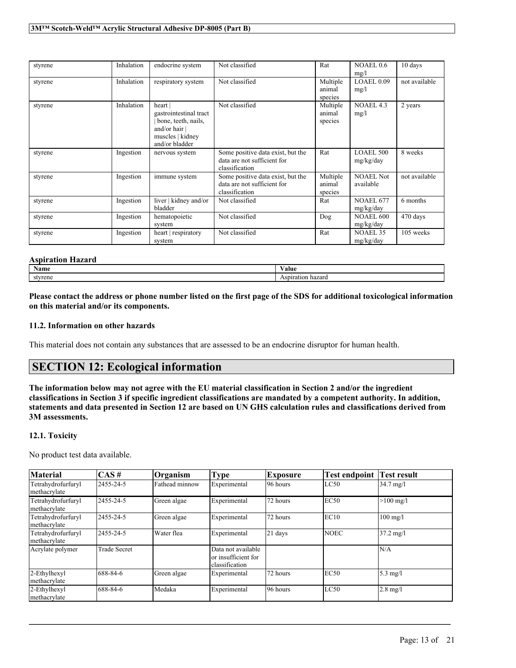| styrene | Inhalation | endocrine system                                                                                                | Not classified                                                                     | Rat                           | NOAEL 0.6<br>mg/l             | 10 days       |
|---------|------------|-----------------------------------------------------------------------------------------------------------------|------------------------------------------------------------------------------------|-------------------------------|-------------------------------|---------------|
| styrene | Inhalation | respiratory system                                                                                              | Not classified                                                                     | Multiple<br>animal<br>species | LOAEL 0.09<br>mg/l            | not available |
| styrene | Inhalation | heart  <br>gastrointestinal tract<br>bone, teeth, nails,<br>and/or hair  <br>muscles   kidney<br>and/or bladder | Not classified                                                                     | Multiple<br>animal<br>species | NOAEL 4.3<br>mg/l             | 2 years       |
| styrene | Ingestion  | nervous system                                                                                                  | Some positive data exist, but the<br>data are not sufficient for<br>classification | Rat                           | <b>LOAEL 500</b><br>mg/kg/day | 8 weeks       |
| styrene | Ingestion  | immune system                                                                                                   | Some positive data exist, but the<br>data are not sufficient for<br>classification | Multiple<br>animal<br>species | <b>NOAEL Not</b><br>available | not available |
| styrene | Ingestion  | liver   kidney and/or<br>bladder                                                                                | Not classified                                                                     | Rat                           | <b>NOAEL 677</b><br>mg/kg/day | 6 months      |
| styrene | Ingestion  | hematopoietic<br>system                                                                                         | Not classified                                                                     | Dog                           | <b>NOAEL 600</b><br>mg/kg/day | 470 days      |
| styrene | Ingestion  | heart   respiratory<br>system                                                                                   | Not classified                                                                     | Rat                           | <b>NOAEL 35</b><br>mg/kg/day  | 105 weeks     |

#### **Aspiration Hazard**

| <b>Name</b> | $\mathbf{v}$<br>√alue                           |
|-------------|-------------------------------------------------|
| ≃tvrene     | ----<br>$-$<br>-iiazaru<br>011 A.UVII<br>2.1311 |

Please contact the address or phone number listed on the first page of the SDS for additional toxicological information **on this material and/or its components.**

#### **11.2. Information on other hazards**

This material does not contain any substances that are assessed to be an endocrine disruptor for human health.

### **SECTION 12: Ecological information**

The information below may not agree with the EU material classification in Section 2 and/or the ingredient classifications in Section 3 if specific ingredient classifications are mandated by a competent authority. In addition, statements and data presented in Section 12 are based on UN GHS calculation rules and classifications derived from **3M assessments.**

#### **12.1. Toxicity**

No product test data available.

| <b>Material</b>                    | $\overline{CAS}$ #  | Organism       | Type                                                        | <b>Exposure</b> | <b>Test endpoint</b> | <b>Test result</b>  |
|------------------------------------|---------------------|----------------|-------------------------------------------------------------|-----------------|----------------------|---------------------|
| Tetrahydrofurfuryl<br>methacrylate | 2455-24-5           | Fathead minnow | Experimental                                                | 96 hours        | LC50                 | $34.7 \text{ mg}/1$ |
| Tetrahydrofurfuryl<br>methacrylate | 2455-24-5           | Green algae    | Experimental                                                | 72 hours        | EC50                 | $>100$ mg/l         |
| Tetrahydrofurfuryl<br>methacrylate | 2455-24-5           | Green algae    | Experimental                                                | 72 hours        | EC10                 | $100$ mg/l          |
| Tetrahydrofurfuryl<br>methacrylate | 2455-24-5           | Water flea     | Experimental                                                | 21 days         | <b>NOEC</b>          | $37.2 \text{ mg}/1$ |
| Acrylate polymer                   | <b>Trade Secret</b> |                | Data not available<br>or insufficient for<br>classification |                 |                      | N/A                 |
| 2-Ethylhexyl<br>methacrylate       | 688-84-6            | Green algae    | Experimental                                                | 72 hours        | EC50                 | $5.3 \text{ mg/l}$  |
| 2-Ethylhexyl<br>methacrylate       | 688-84-6            | Medaka         | Experimental                                                | 96 hours        | LC50                 | $2.8 \text{ mg}/l$  |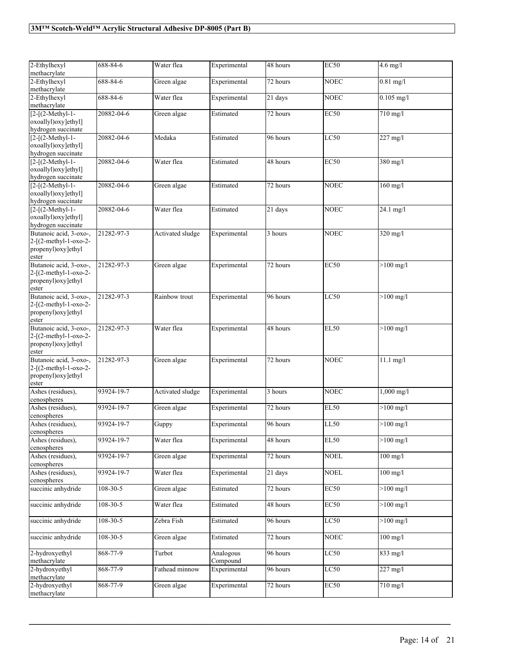| 2-Ethylhexyl                                                                       | 688-84-6       | Water flea       | Experimental          | 48 hours | <b>EC50</b> | $4.6$ mg/l          |
|------------------------------------------------------------------------------------|----------------|------------------|-----------------------|----------|-------------|---------------------|
| methacrylate<br>2-Ethylhexyl                                                       | 688-84-6       | Green algae      | Experimental          | 72 hours | <b>NOEC</b> | $0.81$ mg/l         |
| methacrylate                                                                       |                |                  |                       |          |             |                     |
| 2-Ethylhexyl<br>methacrylate                                                       | 688-84-6       | Water flea       | Experimental          | 21 days  | <b>NOEC</b> | $0.105$ mg/l        |
| $[2-(2-Methyl-1-$<br>oxoallyl)oxy]ethyl]<br>hydrogen succinate                     | 20882-04-6     | Green algae      | Estimated             | 72 hours | <b>EC50</b> | 710 mg/l            |
| $[2-[ (2-Methyl-1-$<br>oxoallyl)oxy]ethyl]<br>hydrogen succinate                   | 20882-04-6     | Medaka           | Estimated             | 96 hours | LC50        | $227$ mg/l          |
| $[2 - [(2 - Methyl-1 -$<br>oxoallyl) oxy lethyl]<br>hydrogen succinate             | 20882-04-6     | Water flea       | Estimated             | 48 hours | <b>EC50</b> | 380 mg/l            |
| $[2-[ (2-Methyl-1-$<br>oxoallyl)oxy]ethyl]<br>hydrogen succinate                   | 20882-04-6     | Green algae      | Estimated             | 72 hours | <b>NOEC</b> | $160$ mg/l          |
| $[2-[ (2-Methyl-1-$<br>oxoallyl)oxy]ethyl]<br>hydrogen succinate                   | 20882-04-6     | Water flea       | Estimated             | 21 days  | <b>NOEC</b> | $24.1$ mg/l         |
| Butanoic acid, 3-oxo-,<br>2-[(2-methyl-1-oxo-2-<br>propenyl)oxy]ethyl<br>ester     | 21282-97-3     | Activated sludge | Experimental          | 3 hours  | <b>NOEC</b> | 320 mg/l            |
| Butanoic acid, 3-oxo-,<br>$2-[2-methyl-1-oxo-2-$<br>propenyl)oxy]ethyl<br>ester    | 21282-97-3     | Green algae      | Experimental          | 72 hours | <b>EC50</b> | $>100$ mg/l         |
| Butanoic acid, 3-oxo-,<br>$2 - [(2-methyl-1-oxo-2-$<br>propenyl)oxy]ethyl<br>ester | 21282-97-3     | Rainbow trout    | Experimental          | 96 hours | LC50        | $>100$ mg/l         |
| Butanoic acid, 3-oxo-,<br>$2-[2-methyl-1-oxo-2-$<br>propenyl)oxy]ethyl<br>ester    | 21282-97-3     | Water flea       | Experimental          | 48 hours | <b>EL50</b> | $>100$ mg/l         |
| Butanoic acid, 3-oxo-,<br>$2 - [(2-methyl-1-oxo-2-$<br>propenyl)oxy]ethyl<br>ester | 21282-97-3     | Green algae      | Experimental          | 72 hours | <b>NOEC</b> | $11.1$ mg/l         |
| Ashes (residues),<br>cenospheres                                                   | 93924-19-7     | Activated sludge | Experimental          | 3 hours  | <b>NOEC</b> | $1,000$ mg/l        |
| Ashes (residues),<br>cenospheres                                                   | 93924-19-7     | Green algae      | Experimental          | 72 hours | <b>EL50</b> | $>100$ mg/l         |
| Ashes (residues),<br>cenospheres                                                   | 93924-19-7     | Guppy            | Experimental          | 96 hours | <b>LL50</b> | $>100$ mg/l         |
| Ashes (residues),<br>cenospheres                                                   | 93924-19-7     | Water flea       | Experimental          | 48 hours | EL50        | $>100 \text{ mg/l}$ |
| Ashes (residues),<br>cenospheres                                                   | 93924-19-7     | Green algae      | Experimental          | 72 hours | <b>NOEL</b> | $100$ mg/l          |
| Ashes (residues).<br>cenospheres                                                   | 93924-19-7     | Water flea       | Experimental          | 21 days  | <b>NOEL</b> | $100$ mg/l          |
| succinic anhydride                                                                 | $108 - 30 - 5$ | Green algae      | Estimated             | 72 hours | <b>EC50</b> | $>100$ mg/l         |
| succinic anhydride                                                                 | $108 - 30 - 5$ | Water flea       | Estimated             | 48 hours | <b>EC50</b> | $>100$ mg/l         |
| succinic anhydride                                                                 | $108 - 30 - 5$ | Zebra Fish       | Estimated             | 96 hours | LC50        | $>100$ mg/l         |
| succinic anhydride                                                                 | $108 - 30 - 5$ | Green algae      | Estimated             | 72 hours | <b>NOEC</b> | $100$ mg/l          |
| 2-hydroxyethyl<br>methacrylate                                                     | 868-77-9       | Turbot           | Analogous<br>Compound | 96 hours | LC50        | 833 mg/l            |
| 2-hydroxyethyl<br>methacrylate                                                     | 868-77-9       | Fathead minnow   | Experimental          | 96 hours | LC50        | $227$ mg/l          |
| 2-hydroxyethyl<br>methacrylate                                                     | $868 - 77 - 9$ | Green algae      | Experimental          | 72 hours | <b>EC50</b> | 710 mg/l            |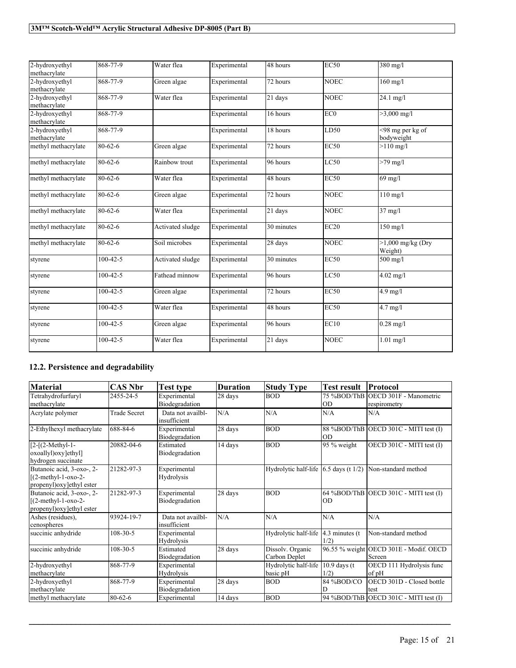| 2-hydroxyethyl<br>methacrylate | 868-77-9       | Water flea       | Experimental | 48 hours   | <b>EC50</b>     | 380 mg/l                       |
|--------------------------------|----------------|------------------|--------------|------------|-----------------|--------------------------------|
| 2-hydroxyethyl<br>methacrylate | 868-77-9       | Green algae      | Experimental | 72 hours   | <b>NOEC</b>     | $160$ mg/l                     |
| 2-hydroxyethyl<br>methacrylate | 868-77-9       | Water flea       | Experimental | 21 days    | <b>NOEC</b>     | $24.1$ mg/l                    |
| 2-hydroxyethyl<br>methacrylate | 868-77-9       |                  | Experimental | 16 hours   | EC <sub>0</sub> | $>3,000 \text{ mg/l}$          |
| 2-hydroxyethyl<br>methacrylate | 868-77-9       |                  | Experimental | 18 hours   | LD50            | <98 mg per kg of<br>bodyweight |
| methyl methacrylate            | $80 - 62 - 6$  | Green algae      | Experimental | 72 hours   | EC50            | $>110$ mg/l                    |
| methyl methacrylate            | $80 - 62 - 6$  | Rainbow trout    | Experimental | 96 hours   | LC50            | $>79$ mg/l                     |
| methyl methacrylate            | $80 - 62 - 6$  | Water flea       | Experimental | 48 hours   | <b>EC50</b>     | $69$ mg/l                      |
| methyl methacrylate            | $80 - 62 - 6$  | Green algae      | Experimental | 72 hours   | <b>NOEC</b>     | $110$ mg/l                     |
| methyl methacrylate            | 80-62-6        | Water flea       | Experimental | 21 days    | <b>NOEC</b>     | $37$ mg/l                      |
| methyl methacrylate            | $80 - 62 - 6$  | Activated sludge | Experimental | 30 minutes | EC20            | $150$ mg/l                     |
| methyl methacrylate            | $80 - 62 - 6$  | Soil microbes    | Experimental | 28 days    | <b>NOEC</b>     | $>1,000$ mg/kg (Dry<br>Weight) |
| styrene                        | $100 - 42 - 5$ | Activated sludge | Experimental | 30 minutes | <b>EC50</b>     | 500 mg/l                       |
| styrene                        | $100 - 42 - 5$ | Fathead minnow   | Experimental | 96 hours   | LC50            | $4.02$ mg/l                    |
| styrene                        | $100 - 42 - 5$ | Green algae      | Experimental | 72 hours   | <b>EC50</b>     | $4.9$ mg/l                     |
| styrene                        | $100 - 42 - 5$ | Water flea       | Experimental | 48 hours   | <b>EC50</b>     | $4.7$ mg/l                     |
| styrene                        | $100 - 42 - 5$ | Green algae      | Experimental | 96 hours   | EC10            | $0.28$ mg/l                    |
| styrene                        | $100 - 42 - 5$ | Water flea       | Experimental | 21 days    | <b>NOEC</b>     | $1.01$ mg/l                    |

### **12.2. Persistence and degradability**

| <b>Material</b>                                                                 | <b>CAS Nbr</b>      | Test type                         | <b>Duration</b> | <b>Study Type</b>                 | <b>Test result</b>        | Protocol                                           |
|---------------------------------------------------------------------------------|---------------------|-----------------------------------|-----------------|-----------------------------------|---------------------------|----------------------------------------------------|
| Tetrahydrofurfuryl<br>methacrylate                                              | 2455-24-5           | Experimental<br>Biodegradation    | 28 days         | <b>BOD</b>                        | lOD                       | 75 %BOD/ThB OECD 301F - Manometric<br>respirometry |
| Acrylate polymer                                                                | <b>Trade Secret</b> | Data not availbl-<br>insufficient | N/A             | N/A                               | N/A                       | N/A                                                |
| 2-Ethylhexyl methacrylate                                                       | 688-84-6            | Experimental<br>Biodegradation    | 28 days         | <b>BOD</b>                        | IOD                       | $88\%BOD/ThB$ OECD 301C - MITI test (I)            |
| $[2-[ (2-Methyl-1-$<br>oxoallyl) oxy lethyl]<br>hydrogen succinate              | 20882-04-6          | Estimated<br>Biodegradation       | 14 days         | <b>BOD</b>                        | 95 % weight               | OECD 301C - MITI test (I)                          |
| Butanoic acid, 3-oxo-, 2-<br>$(2-methyl-1-oxo-2-$<br>propenyl) oxy lethyl ester | 21282-97-3          | Experimental<br>Hydrolysis        |                 | Hydrolytic half-life              | 6.5 days (t $1/2$ )       | Non-standard method                                |
| Butanoic acid, 3-oxo-, 2-<br>$[(2-methyl-1-oxo-2-$<br>propenyl)oxy]ethyl ester  | 21282-97-3          | Experimental<br>Biodegradation    | 28 days         | <b>BOD</b>                        | <b>OD</b>                 | 64 %BOD/ThB OECD 301C - MITI test $(I)$            |
| Ashes (residues),<br>cenospheres                                                | 93924-19-7          | Data not availbl-<br>insufficient | N/A             | N/A                               | N/A                       | N/A                                                |
| succinic anhydride                                                              | $108 - 30 - 5$      | Experimental<br>Hydrolysis        |                 | Hydrolytic half-life              | $4.3$ minutes (t)<br>1/2) | Non-standard method                                |
| succinic anhydride                                                              | $108 - 30 - 5$      | Estimated<br>Biodegradation       | 28 days         | Dissolv. Organic<br>Carbon Deplet |                           | 96.55 % weight OECD 301E - Modif. OECD<br>Screen   |
| 2-hydroxyethyl<br>methacrylate                                                  | 868-77-9            | Experimental<br>Hydrolysis        |                 | Hydrolytic half-life<br>basic pH  | $10.9$ days (t)<br>1/2)   | OECD 111 Hydrolysis func<br>of pH                  |
| 2-hydroxyethyl<br>methacrylate                                                  | 868-77-9            | Experimental<br>Biodegradation    | 28 days         | <b>BOD</b>                        | 84 %BOD/CO<br>D           | OECD 301D - Closed bottle<br>test                  |
| methyl methacrylate                                                             | $80 - 62 - 6$       | Experimental                      | 14 days         | <b>BOD</b>                        |                           | 94 %BOD/ThB OECD 301C - MITI test (I)              |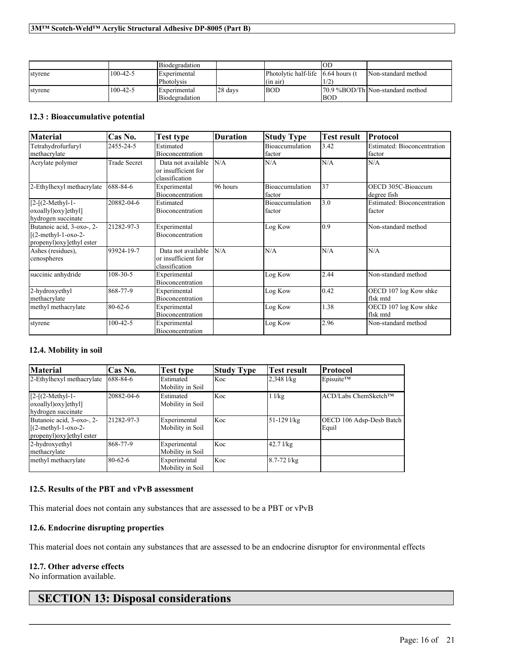|         |                | Biodegradation      |         |                                                 | IOD  |                                   |
|---------|----------------|---------------------|---------|-------------------------------------------------|------|-----------------------------------|
| styrene | $100 - 42 - 5$ | <b>Experimental</b> |         | Photolytic half-life $(6.64 \text{ hours})$ (t) |      | Non-standard method               |
|         |                | Photolysis          |         | $(in \text{ air})$                              |      |                                   |
| styrene | $100 - 42 - 5$ | <b>Experimental</b> | 28 days | <b>BOD</b>                                      |      | 170.9 %BOD/Th Non-standard method |
|         |                | Biodegradation      |         |                                                 | IBOD |                                   |

#### **12.3 : Bioaccumulative potential**

| <b>Material</b>                                                                  | Cas No.             | Test type                                                   | <b>Duration</b> | <b>Study Type</b>         | <b>Test result</b> | Protocol                              |
|----------------------------------------------------------------------------------|---------------------|-------------------------------------------------------------|-----------------|---------------------------|--------------------|---------------------------------------|
| Tetrahydrofurfuryl<br>methacrylate                                               | 2455-24-5           | Estimated<br>Bioconcentration                               |                 | Bioaccumulation<br>factor | 3.42               | Estimated: Bioconcentration<br>factor |
| Acrylate polymer                                                                 | <b>Trade Secret</b> | Data not available<br>or insufficient for<br>classification | N/A             | N/A                       | N/A                | N/A                                   |
| 2-Ethylhexyl methacrylate                                                        | 688-84-6            | Experimental<br>Bioconcentration                            | 96 hours        | Bioaccumulation<br>factor | 37                 | OECD 305C-Bioaccum<br>degree fish     |
| $[2-(2-Methyl-1-$<br>oxoallyl) oxy [ethyl]<br>hydrogen succinate                 | 20882-04-6          | Estimated<br>Bioconcentration                               |                 | Bioaccumulation<br>factor | 3.0                | Estimated: Bioconcentration<br>factor |
| Butanoic acid, 3-oxo-, 2-<br>$[(2-methyl-1-oxo-2-$<br>propenyl) oxy lethyl ester | 21282-97-3          | Experimental<br>Bioconcentration                            |                 | Log Kow                   | 0.9                | Non-standard method                   |
| Ashes (residues),<br>cenospheres                                                 | 93924-19-7          | Data not available<br>or insufficient for<br>classification | N/A             | N/A                       | N/A                | N/A                                   |
| succinic anhydride                                                               | $108 - 30 - 5$      | Experimental<br><b>Bioconcentration</b>                     |                 | Log Kow                   | 2.44               | Non-standard method                   |
| 2-hydroxyethyl<br>methacrylate                                                   | 868-77-9            | Experimental<br>Bioconcentration                            |                 | Log Kow                   | 0.42               | OECD 107 log Kow shke<br>flsk mtd     |
| methyl methacrylate                                                              | 80-62-6             | Experimental<br><b>Bioconcentration</b>                     |                 | Log Kow                   | 1.38               | OECD 107 log Kow shke<br>flsk mtd     |
| styrene                                                                          | $100 - 42 - 5$      | Experimental<br>Bioconcentration                            |                 | Log Kow                   | 2.96               | Non-standard method                   |

#### **12.4. Mobility in soil**

| <b>Material</b>                                                                | Cas No.    | Test type                        | <b>Study Type</b> | <b>Test result</b> | <b>Protocol</b>                   |
|--------------------------------------------------------------------------------|------------|----------------------------------|-------------------|--------------------|-----------------------------------|
| 2-Ethylhexyl methacrylate                                                      | 688-84-6   | Estimated<br>Mobility in Soil    | Koc               | $2,348$ $1/kg$     | Episuite™                         |
| $[2-(2-Methyl-1-$<br>oxoallyl) oxy [ethyl]<br>hydrogen succinate               | 20882-04-6 | Estimated<br>Mobility in Soil    | Koc               | $1$ $1/kg$         | ACD/Labs ChemSketch™              |
| Butanoic acid, 3-oxo-, 2-<br>$[(2-methyl-1-oxo-2-$<br>propenyl)oxy]ethyl ester | 21282-97-3 | Experimental<br>Mobility in Soil | Koc               | 51-129 l/kg        | OECD 106 Adsp-Desb Batch<br>Equil |
| 2-hydroxyethyl<br>methacrylate                                                 | 868-77-9   | Experimental<br>Mobility in Soil | Koc               | $42.7$ $1$ / $kg$  |                                   |
| methyl methacrylate                                                            | 80-62-6    | Experimental<br>Mobility in Soil | Koc               | $8.7 - 72$ l/kg    |                                   |

#### **12.5. Results of the PBT and vPvB assessment**

This material does not contain any substances that are assessed to be a PBT or vPvB

#### **12.6. Endocrine disrupting properties**

This material does not contain any substances that are assessed to be an endocrine disruptor for environmental effects

 $\mathcal{L}_\mathcal{L} = \mathcal{L}_\mathcal{L} = \mathcal{L}_\mathcal{L} = \mathcal{L}_\mathcal{L} = \mathcal{L}_\mathcal{L} = \mathcal{L}_\mathcal{L} = \mathcal{L}_\mathcal{L} = \mathcal{L}_\mathcal{L} = \mathcal{L}_\mathcal{L} = \mathcal{L}_\mathcal{L} = \mathcal{L}_\mathcal{L} = \mathcal{L}_\mathcal{L} = \mathcal{L}_\mathcal{L} = \mathcal{L}_\mathcal{L} = \mathcal{L}_\mathcal{L} = \mathcal{L}_\mathcal{L} = \mathcal{L}_\mathcal{L}$ 

#### **12.7. Other adverse effects**

No information available.

## **SECTION 13: Disposal considerations**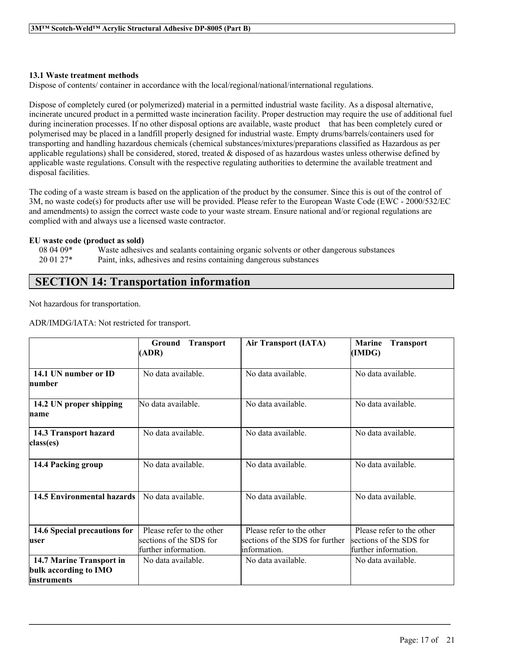#### **13.1 Waste treatment methods**

Dispose of contents/ container in accordance with the local/regional/national/international regulations.

Dispose of completely cured (or polymerized) material in a permitted industrial waste facility. As a disposal alternative, incinerate uncured product in a permitted waste incineration facility. Proper destruction may require the use of additional fuel during incineration processes. If no other disposal options are available, waste product that has been completely cured or polymerised may be placed in a landfill properly designed for industrial waste. Empty drums/barrels/containers used for transporting and handling hazardous chemicals (chemical substances/mixtures/preparations classified as Hazardous as per applicable regulations) shall be considered, stored, treated  $\&$  disposed of as hazardous wastes unless otherwise defined by applicable waste regulations. Consult with the respective regulating authorities to determine the available treatment and disposal facilities.

The coding of a waste stream is based on the application of the product by the consumer. Since this is out of the control of 3M, no waste code(s) for products after use will be provided. Please refer to the European Waste Code (EWC - 2000/532/EC and amendments) to assign the correct waste code to your waste stream. Ensure national and/or regional regulations are complied with and always use a licensed waste contractor.

# **EU waste code (product as sold)**

08 04 09\* Waste adhesives and sealants containing organic solvents or other dangerous substances<br>20 01 27\* Paint, inks, adhesives and resins containing dangerous substances Paint, inks, adhesives and resins containing dangerous substances

### **SECTION 14: Transportation information**

Not hazardous for transportation.

ADR/IMDG/IATA: Not restricted for transport.

|                                                                  | <b>Transport</b><br>Ground<br>(ADR)                                          | <b>Air Transport (IATA)</b>                                                   | <b>Marine</b><br><b>Transport</b><br>(IMDG)                                  |
|------------------------------------------------------------------|------------------------------------------------------------------------------|-------------------------------------------------------------------------------|------------------------------------------------------------------------------|
| 14.1 UN number or ID<br>humber                                   | No data available.                                                           | No data available.                                                            | No data available.                                                           |
| 14.2 UN proper shipping<br>name                                  | No data available.                                                           | No data available.                                                            | No data available.                                                           |
| 14.3 Transport hazard<br>class(es)                               | No data available.                                                           | No data available.                                                            | No data available.                                                           |
| 14.4 Packing group                                               | No data available.                                                           | No data available.                                                            | No data available.                                                           |
| <b>14.5 Environmental hazards</b>                                | No data available.                                                           | No data available.                                                            | No data available.                                                           |
| 14.6 Special precautions for<br>luser                            | Please refer to the other<br>sections of the SDS for<br>further information. | Please refer to the other<br>sections of the SDS for further<br>linformation. | Please refer to the other<br>sections of the SDS for<br>further information. |
| 14.7 Marine Transport in<br>bulk according to IMO<br>instruments | No data available.                                                           | No data available                                                             | No data available.                                                           |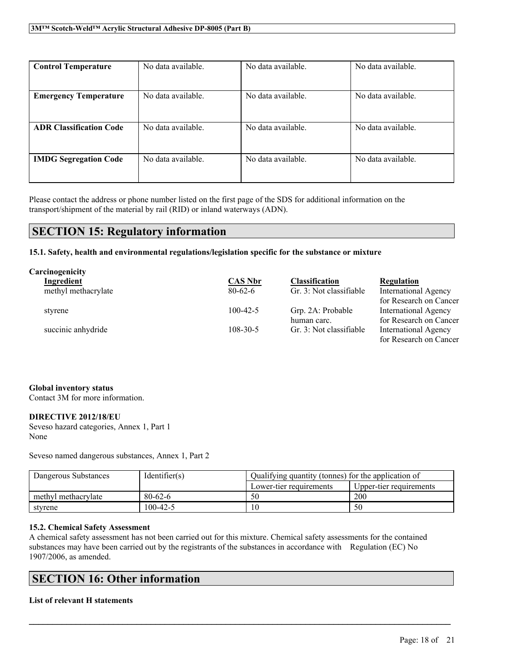| <b>Control Temperature</b>     | No data available. | No data available. | No data available. |
|--------------------------------|--------------------|--------------------|--------------------|
|                                |                    |                    |                    |
| <b>Emergency Temperature</b>   | No data available. | No data available. | No data available. |
|                                |                    |                    |                    |
| <b>ADR Classification Code</b> | No data available. | No data available. | No data available. |
|                                |                    |                    |                    |
| <b>IMDG Segregation Code</b>   | No data available. | No data available. | No data available. |
|                                |                    |                    |                    |

Please contact the address or phone number listed on the first page of the SDS for additional information on the transport/shipment of the material by rail (RID) or inland waterways (ADN).

### **SECTION 15: Regulatory information**

**15.1. Safety, health and environmental regulations/legislation specific for the substance or mixture**

| Carcinogenicity     |                |                         |                             |
|---------------------|----------------|-------------------------|-----------------------------|
| Ingredient          | <b>CAS Nbr</b> | <b>Classification</b>   | Regulation                  |
| methyl methacrylate | $80-62-6$      | Gr. 3: Not classifiable | <b>International Agency</b> |
|                     |                |                         | for Research on Cancer      |
| styrene             | $100-42-5$     | Grp. 2A: Probable       | International Agency        |
|                     |                | human carc.             | for Research on Cancer      |
| succinic anhydride  | $108 - 30 - 5$ | Gr. 3: Not classifiable | <b>International Agency</b> |
|                     |                |                         | for Research on Cancer      |

#### **Global inventory status**

Contact 3M for more information.

#### **DIRECTIVE 2012/18/EU**

Seveso hazard categories, Annex 1, Part 1 None

Seveso named dangerous substances, Annex 1, Part 2

| Dangerous Substances | Identifier(s) | Qualifying quantity (tonnes) for the application of |                         |
|----------------------|---------------|-----------------------------------------------------|-------------------------|
|                      |               | Lower-tier requirements                             | Upper-tier requirements |
| methyl methacrylate  | $80 - 62 - 6$ | 50                                                  | 200                     |
| styrene              | 100-42-5      | 10                                                  | 50                      |

#### **15.2. Chemical Safety Assessment**

A chemical safety assessment has not been carried out for this mixture. Chemical safety assessments for the contained substances may have been carried out by the registrants of the substances in accordance with Regulation (EC) No 1907/2006, as amended.

 $\mathcal{L}_\mathcal{L} = \mathcal{L}_\mathcal{L} = \mathcal{L}_\mathcal{L} = \mathcal{L}_\mathcal{L} = \mathcal{L}_\mathcal{L} = \mathcal{L}_\mathcal{L} = \mathcal{L}_\mathcal{L} = \mathcal{L}_\mathcal{L} = \mathcal{L}_\mathcal{L} = \mathcal{L}_\mathcal{L} = \mathcal{L}_\mathcal{L} = \mathcal{L}_\mathcal{L} = \mathcal{L}_\mathcal{L} = \mathcal{L}_\mathcal{L} = \mathcal{L}_\mathcal{L} = \mathcal{L}_\mathcal{L} = \mathcal{L}_\mathcal{L}$ 

### **SECTION 16: Other information**

#### **List of relevant H statements**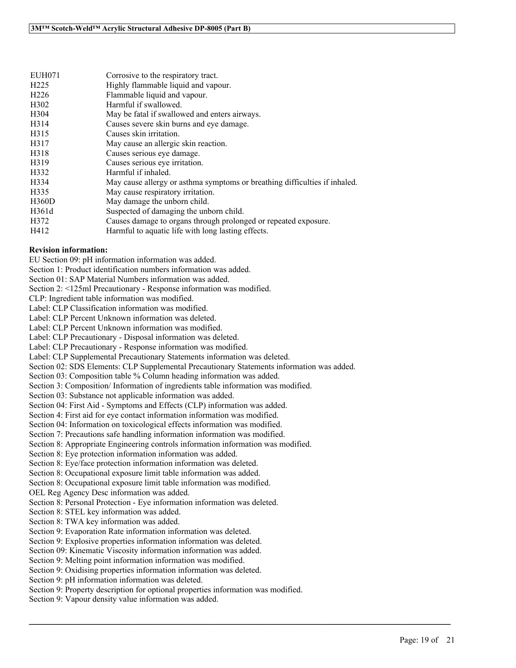| EUH071            | Corrosive to the respiratory tract.                                        |
|-------------------|----------------------------------------------------------------------------|
| H <sub>225</sub>  | Highly flammable liquid and vapour.                                        |
| H <sub>226</sub>  | Flammable liquid and vapour.                                               |
| H <sub>3</sub> 02 | Harmful if swallowed.                                                      |
| H <sub>304</sub>  | May be fatal if swallowed and enters airways.                              |
| H <sub>3</sub> 14 | Causes severe skin burns and eye damage.                                   |
| H315              | Causes skin irritation.                                                    |
| H317              | May cause an allergic skin reaction.                                       |
| H318              | Causes serious eye damage.                                                 |
| H319              | Causes serious eye irritation.                                             |
| H332              | Harmful if inhaled.                                                        |
| H334              | May cause allergy or asthma symptoms or breathing difficulties if inhaled. |
| H335              | May cause respiratory irritation.                                          |
| H360D             | May damage the unborn child.                                               |
| H361d             | Suspected of damaging the unborn child.                                    |
| H372              | Causes damage to organs through prolonged or repeated exposure.            |
| H412              | Harmful to aquatic life with long lasting effects.                         |

#### **Revision information:**

EU Section 09: pH information information was added.

Section 1: Product identification numbers information was added.

Section 01: SAP Material Numbers information was added.

Section 2: <125ml Precautionary - Response information was modified.

CLP: Ingredient table information was modified.

Label: CLP Classification information was modified.

Label: CLP Percent Unknown information was deleted.

Label: CLP Percent Unknown information was modified.

Label: CLP Precautionary - Disposal information was deleted.

Label: CLP Precautionary - Response information was modified.

Label: CLP Supplemental Precautionary Statements information was deleted.

Section 02: SDS Elements: CLP Supplemental Precautionary Statements information was added.

Section 03: Composition table % Column heading information was added.

Section 3: Composition/ Information of ingredients table information was modified.

Section 03: Substance not applicable information was added.

Section 04: First Aid - Symptoms and Effects (CLP) information was added.

Section 4: First aid for eye contact information information was modified.

Section 04: Information on toxicological effects information was modified.

Section 7: Precautions safe handling information information was modified.

Section 8: Appropriate Engineering controls information information was modified.

Section 8: Eye protection information information was added.

Section 8: Eye/face protection information information was deleted.

Section 8: Occupational exposure limit table information was added.

Section 8: Occupational exposure limit table information was modified.

OEL Reg Agency Desc information was added.

Section 8: Personal Protection - Eye information information was deleted.

Section 8: STEL key information was added.

Section 8: TWA key information was added.

Section 9: Evaporation Rate information information was deleted.

Section 9: Explosive properties information information was deleted.

Section 09: Kinematic Viscosity information information was added.

Section 9: Melting point information information was modified.

Section 9: Oxidising properties information information was deleted.

Section 9: pH information information was deleted.

Section 9: Property description for optional properties information was modified.

 $\mathcal{L}_\mathcal{L} = \mathcal{L}_\mathcal{L} = \mathcal{L}_\mathcal{L} = \mathcal{L}_\mathcal{L} = \mathcal{L}_\mathcal{L} = \mathcal{L}_\mathcal{L} = \mathcal{L}_\mathcal{L} = \mathcal{L}_\mathcal{L} = \mathcal{L}_\mathcal{L} = \mathcal{L}_\mathcal{L} = \mathcal{L}_\mathcal{L} = \mathcal{L}_\mathcal{L} = \mathcal{L}_\mathcal{L} = \mathcal{L}_\mathcal{L} = \mathcal{L}_\mathcal{L} = \mathcal{L}_\mathcal{L} = \mathcal{L}_\mathcal{L}$ 

Section 9: Vapour density value information was added.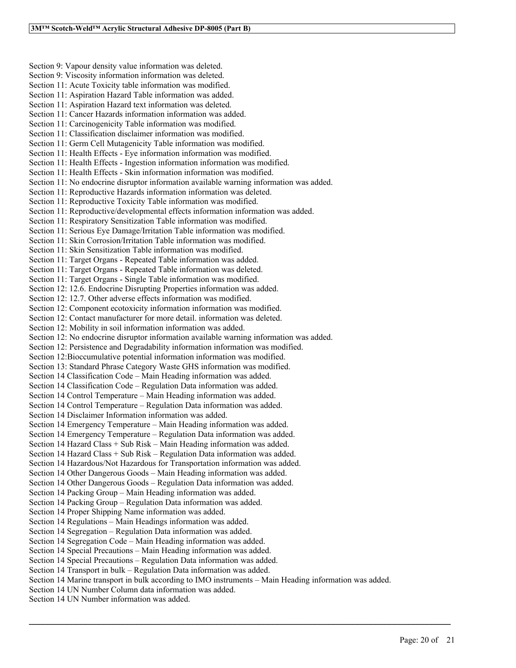Section 9: Vapour density value information was deleted. Section 9: Viscosity information information was deleted. Section 11: Acute Toxicity table information was modified. Section 11: Aspiration Hazard Table information was added. Section 11: Aspiration Hazard text information was deleted. Section 11: Cancer Hazards information information was added. Section 11: Carcinogenicity Table information was modified. Section 11: Classification disclaimer information was modified. Section 11: Germ Cell Mutagenicity Table information was modified. Section 11: Health Effects - Eye information information was modified. Section 11: Health Effects - Ingestion information information was modified. Section 11: Health Effects - Skin information information was modified. Section 11: No endocrine disruptor information available warning information was added. Section 11: Reproductive Hazards information information was deleted. Section 11: Reproductive Toxicity Table information was modified. Section 11: Reproductive/developmental effects information information was added. Section 11: Respiratory Sensitization Table information was modified. Section 11: Serious Eye Damage/Irritation Table information was modified. Section 11: Skin Corrosion/Irritation Table information was modified. Section 11: Skin Sensitization Table information was modified. Section 11: Target Organs - Repeated Table information was added. Section 11: Target Organs - Repeated Table information was deleted. Section 11: Target Organs - Single Table information was modified. Section 12: 12.6. Endocrine Disrupting Properties information was added. Section 12: 12.7. Other adverse effects information was modified. Section 12: Component ecotoxicity information information was modified. Section 12: Contact manufacturer for more detail. information was deleted. Section 12: Mobility in soil information information was added. Section 12: No endocrine disruptor information available warning information was added. Section 12: Persistence and Degradability information information was modified. Section 12:Bioccumulative potential information information was modified. Section 13: Standard Phrase Category Waste GHS information was modified. Section 14 Classification Code – Main Heading information was added. Section 14 Classification Code – Regulation Data information was added. Section 14 Control Temperature – Main Heading information was added. Section 14 Control Temperature – Regulation Data information was added. Section 14 Disclaimer Information information was added. Section 14 Emergency Temperature – Main Heading information was added. Section 14 Emergency Temperature – Regulation Data information was added. Section 14 Hazard Class + Sub Risk – Main Heading information was added. Section 14 Hazard Class + Sub Risk – Regulation Data information was added. Section 14 Hazardous/Not Hazardous for Transportation information was added. Section 14 Other Dangerous Goods – Main Heading information was added. Section 14 Other Dangerous Goods – Regulation Data information was added. Section 14 Packing Group – Main Heading information was added. Section 14 Packing Group – Regulation Data information was added. Section 14 Proper Shipping Name information was added. Section 14 Regulations – Main Headings information was added. Section 14 Segregation – Regulation Data information was added. Section 14 Segregation Code – Main Heading information was added. Section 14 Special Precautions – Main Heading information was added. Section 14 Special Precautions – Regulation Data information was added. Section 14 Transport in bulk – Regulation Data information was added. Section 14 Marine transport in bulk according to IMO instruments – Main Heading information was added. Section 14 UN Number Column data information was added. Section 14 UN Number information was added.